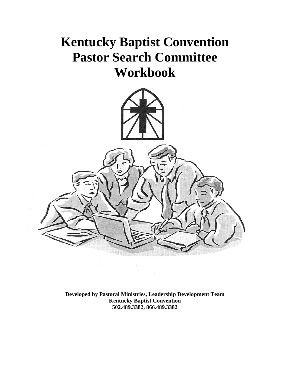# **Kentucky Baptist Convention Pastor Search Committee Workbook**



**Developed by Pastoral Ministries, Leadership Development Team Kentucky Baptist Convention 502.489.3382, 866.489.3382**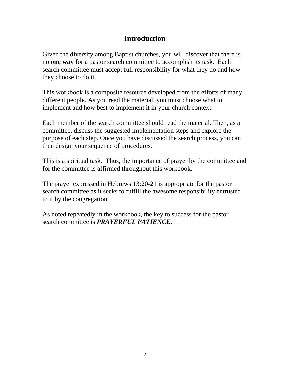### **Introduction**

Given the diversity among Baptist churches, you will discover that there is no **one way** for a pastor search committee to accomplish its task. Each search committee must accept full responsibility for what they do and how they choose to do it.

This workbook is a composite resource developed from the efforts of many different people. As you read the material, you must choose what to implement and how best to implement it in your church context.

Each member of the search committee should read the material. Then, as a committee, discuss the suggested implementation steps and explore the purpose of each step. Once you have discussed the search process, you can then design your sequence of procedures.

This is a spiritual task. Thus, the importance of prayer by the committee and for the committee is affirmed throughout this workbook.

The prayer expressed in Hebrews 13:20-21 is appropriate for the pastor search committee as it seeks to fulfill the awesome responsibility entrusted to it by the congregation.

As noted repeatedly in the workbook, the key to success for the pastor search committee is *PRAYERFUL PATIENCE.*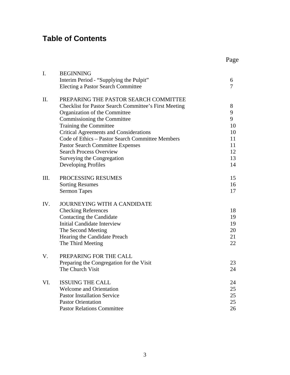## **Table of Contents**

| Page |
|------|
|      |

| I.   | <b>BEGINNING</b>                                             |                |  |  |  |  |  |  |
|------|--------------------------------------------------------------|----------------|--|--|--|--|--|--|
|      | Interim Period - "Supplying the Pulpit"                      | 6              |  |  |  |  |  |  |
|      | <b>Electing a Pastor Search Committee</b>                    | $\overline{7}$ |  |  |  |  |  |  |
| Π.   | PREPARING THE PASTOR SEARCH COMMITTEE                        |                |  |  |  |  |  |  |
|      | <b>Checklist for Pastor Search Committee's First Meeting</b> | 8              |  |  |  |  |  |  |
|      | Organization of the Committee                                | 9              |  |  |  |  |  |  |
|      | Commissioning the Committee                                  | 9              |  |  |  |  |  |  |
|      | Training the Committee                                       | 10             |  |  |  |  |  |  |
|      | <b>Critical Agreements and Considerations</b>                | 10             |  |  |  |  |  |  |
|      | Code of Ethics - Pastor Search Committee Members             | 11             |  |  |  |  |  |  |
|      | <b>Pastor Search Committee Expenses</b>                      | 11             |  |  |  |  |  |  |
|      | <b>Search Process Overview</b>                               | 12             |  |  |  |  |  |  |
|      | Surveying the Congregation                                   | 13             |  |  |  |  |  |  |
|      | Developing Profiles                                          | 14             |  |  |  |  |  |  |
| III. | PROCESSING RESUMES                                           | 15             |  |  |  |  |  |  |
|      | <b>Sorting Resumes</b>                                       | 16             |  |  |  |  |  |  |
|      | <b>Sermon Tapes</b>                                          | 17             |  |  |  |  |  |  |
| IV.  | <b>JOURNEYING WITH A CANDIDATE</b>                           |                |  |  |  |  |  |  |
|      | <b>Checking References</b>                                   | 18             |  |  |  |  |  |  |
|      | Contacting the Candidate                                     | 19             |  |  |  |  |  |  |
|      | <b>Initial Candidate Interview</b>                           | 19             |  |  |  |  |  |  |
|      | The Second Meeting                                           | 20             |  |  |  |  |  |  |
|      | Hearing the Candidate Preach                                 | 21             |  |  |  |  |  |  |
|      | The Third Meeting                                            | 22             |  |  |  |  |  |  |
| V.   | PREPARING FOR THE CALL                                       |                |  |  |  |  |  |  |
|      | Preparing the Congregation for the Visit                     | 23             |  |  |  |  |  |  |
|      | The Church Visit                                             | 24             |  |  |  |  |  |  |
| VI.  | <b>ISSUING THE CALL</b>                                      | 24             |  |  |  |  |  |  |
|      | <b>Welcome and Orientation</b>                               | 25             |  |  |  |  |  |  |
|      | <b>Pastor Installation Service</b>                           | 25             |  |  |  |  |  |  |
|      | <b>Pastor Orientation</b>                                    | 25             |  |  |  |  |  |  |
|      | <b>Pastor Relations Committee</b>                            | 26             |  |  |  |  |  |  |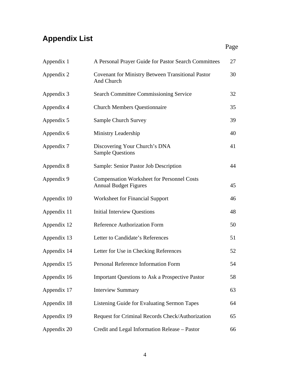## **Appendix List**

| Appendix 1  | A Personal Prayer Guide for Pastor Search Committees                              | 27 |
|-------------|-----------------------------------------------------------------------------------|----|
| Appendix 2  | <b>Covenant for Ministry Between Transitional Pastor</b><br>And Church            | 30 |
| Appendix 3  | <b>Search Committee Commissioning Service</b>                                     | 32 |
| Appendix 4  | <b>Church Members Questionnaire</b>                                               | 35 |
| Appendix 5  | <b>Sample Church Survey</b>                                                       | 39 |
| Appendix 6  | Ministry Leadership                                                               | 40 |
| Appendix 7  | Discovering Your Church's DNA<br><b>Sample Questions</b>                          | 41 |
| Appendix 8  | Sample: Senior Pastor Job Description                                             | 44 |
| Appendix 9  | <b>Compensation Worksheet for Personnel Costs</b><br><b>Annual Budget Figures</b> | 45 |
| Appendix 10 | <b>Worksheet for Financial Support</b>                                            | 46 |
| Appendix 11 | <b>Initial Interview Questions</b>                                                | 48 |
| Appendix 12 | Reference Authorization Form                                                      | 50 |
| Appendix 13 | Letter to Candidate's References                                                  | 51 |
| Appendix 14 | Letter for Use in Checking References                                             | 52 |
| Appendix 15 | Personal Reference Information Form                                               | 54 |
| Appendix 16 | <b>Important Questions to Ask a Prospective Pastor</b>                            | 58 |
| Appendix 17 | <b>Interview Summary</b>                                                          | 63 |
| Appendix 18 | Listening Guide for Evaluating Sermon Tapes                                       | 64 |
| Appendix 19 | Request for Criminal Records Check/Authorization                                  | 65 |
| Appendix 20 | Credit and Legal Information Release - Pastor                                     | 66 |

**Page**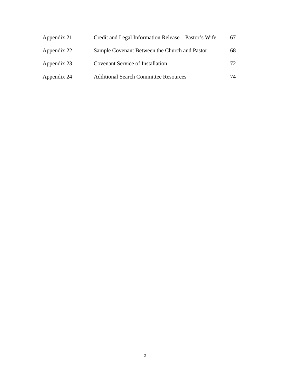| Appendix 21 | Credit and Legal Information Release – Pastor's Wife | 67  |
|-------------|------------------------------------------------------|-----|
| Appendix 22 | Sample Covenant Between the Church and Pastor        | 68  |
| Appendix 23 | <b>Covenant Service of Installation</b>              | 72. |
| Appendix 24 | <b>Additional Search Committee Resources</b>         | 74  |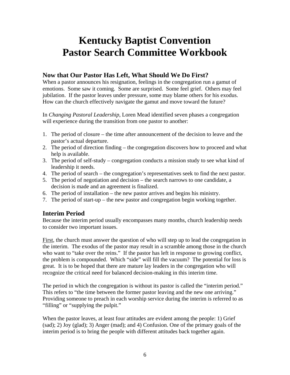## **Kentucky Baptist Convention Pastor Search Committee Workbook**

#### **Now that Our Pastor Has Left, What Should We Do First?**

When a pastor announces his resignation, feelings in the congregation run a gamut of emotions. Some saw it coming. Some are surprised. Some feel grief. Others may feel jubilation. If the pastor leaves under pressure, some may blame others for his exodus. How can the church effectively navigate the gamut and move toward the future?

In *Changing Pastoral Leadership*, Loren Mead identified seven phases a congregation will experience during the transition from one pastor to another:

- 1. The period of closure the time after announcement of the decision to leave and the pastor's actual departure.
- 2. The period of direction finding the congregation discovers how to proceed and what help is available.
- 3. The period of self-study congregation conducts a mission study to see what kind of leadership it needs.
- 4. The period of search the congregation's representatives seek to find the next pastor.
- 5. The period of negotiation and decision the search narrows to one candidate, a decision is made and an agreement is finalized.
- 6. The period of installation the new pastor arrives and begins his ministry.
- 7. The period of start-up the new pastor and congregation begin working together.

#### **Interim Period**

Because the interim period usually encompasses many months, church leadership needs to consider two important issues.

First, the church must answer the question of who will step up to lead the congregation in the interim. The exodus of the pastor may result in a scramble among those in the church who want to "take over the reins." If the pastor has left in response to growing conflict, the problem is compounded. Which "side" will fill the vacuum? The potential for loss is great. It is to be hoped that there are mature lay leaders in the congregation who will recognize the critical need for balanced decision-making in this interim time.

The period in which the congregation is without its pastor is called the "interim period." This refers to "the time between the former pastor leaving and the new one arriving." Providing someone to preach in each worship service during the interim is referred to as "filling" or "supplying the pulpit."

When the pastor leaves, at least four attitudes are evident among the people: 1) Grief (sad); 2) Joy (glad); 3) Anger (mad); and 4) Confusion. One of the primary goals of the interim period is to bring the people with different attitudes back together again.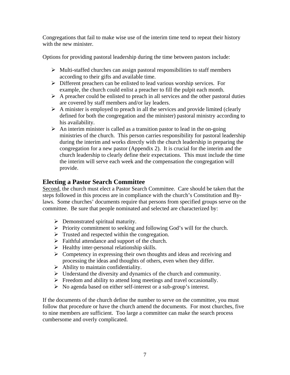Congregations that fail to make wise use of the interim time tend to repeat their history with the new minister.

Options for providing pastoral leadership during the time between pastors include:

- $\triangleright$  Multi-staffed churches can assign pastoral responsibilities to staff members according to their gifts and available time.
- $\triangleright$  Different preachers can be enlisted to lead various worship services. For example, the church could enlist a preacher to fill the pulpit each month.
- $\triangleright$  A preacher could be enlisted to preach in all services and the other pastoral duties are covered by staff members and/or lay leaders.
- $\triangleright$  A minister is employed to preach in all the services and provide limited (clearly defined for both the congregation and the minister) pastoral ministry according to his availability.
- $\triangleright$  An interim minister is called as a transition pastor to lead in the on-going ministries of the church. This person carries responsibility for pastoral leadership during the interim and works directly with the church leadership in preparing the congregation for a new pastor (Appendix 2). It is crucial for the interim and the church leadership to clearly define their expectations. This must include the time the interim will serve each week and the compensation the congregation will provide.

#### **Electing a Pastor Search Committee**

Second, the church must elect a Pastor Search Committee. Care should be taken that the steps followed in this process are in compliance with the church's Constitution and Bylaws. Some churches' documents require that persons from specified groups serve on the committee. Be sure that people nominated and selected are characterized by:

- $\triangleright$  Demonstrated spiritual maturity.
- $\triangleright$  Priority commitment to seeking and following God's will for the church.
- $\triangleright$  Trusted and respected within the congregation.
- $\triangleright$  Faithful attendance and support of the church.
- $\triangleright$  Healthy inter-personal relationship skills.
- $\triangleright$  Competency in expressing their own thoughts and ideas and receiving and processing the ideas and thoughts of others, even when they differ.
- $\triangleright$  Ability to maintain confidentiality.
- $\triangleright$  Understand the diversity and dynamics of the church and community.
- $\triangleright$  Freedom and ability to attend long meetings and travel occasionally.
- $\triangleright$  No agenda based on either self-interest or a sub-group's interest.

If the documents of the church define the number to serve on the committee, you must follow that procedure or have the church amend the documents. For most churches, five to nine members are sufficient. Too large a committee can make the search process cumbersome and overly complicated.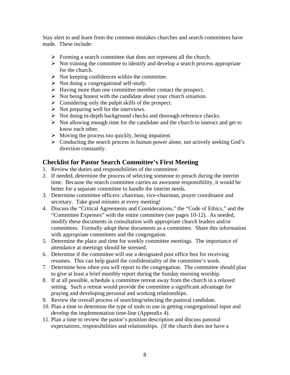Stay alert to and learn from the common mistakes churches and search committees have made. These include:

- $\triangleright$  Forming a search committee that does not represent all the church.
- $\triangleright$  Not training the committee to identify and develop a search process appropriate for the church.
- $\triangleright$  Not keeping confidences within the committee.
- $\triangleright$  Not doing a congregational self-study.
- ¾ Having more than one committee member contact the prospect.
- $\triangleright$  Not being honest with the candidate about your church situation.
- $\triangleright$  Considering only the pulpit skills of the prospect.
- $\triangleright$  Not preparing well for the interviews.
- $\triangleright$  Not doing in-depth background checks and thorough reference checks.
- $\triangleright$  Not allowing enough time for the candidate and the church to interact and get to know each other.
- $\triangleright$  Moving the process too quickly, being impatient.
- $\triangleright$  Conducting the search process in human power alone, not actively seeking God's direction constantly.

#### **Checklist for Pastor Search Committee's First Meeting**

- 1. Review the duties and responsibilities of the committee.
- 2. If needed, determine the process of selecting someone to preach during the interim time. Because the search committee carries an awesome responsibility, it would be better for a separate committee to handle the interim needs.
- 3. Determine committee officers: chairman, vice-chairman, prayer coordinator and secretary. Take good minutes at every meeting!
- 4. Discuss the "Critical Agreements and Considerations," the "Code of Ethics," and the "Committee Expenses" with the entire committee (see pages 10-12). As needed, modify these documents in consultation with appropriate church leaders and/or committees. Formally adopt these documents as a committee. Share this information with appropriate committees and the congregation.
- 5. Determine the place and time for weekly committee meetings. The importance of attendance at meetings should be stressed.
- 6. Determine if the committee will use a designated post office box for receiving resumes. This can help guard the confidentiality of the committee's work.
- 7. Determine how often you will report to the congregation. The committee should plan to give at least a brief monthly report during the Sunday morning worship.
- 8. If at all possible, schedule a committee retreat away from the church in a relaxed setting. Such a retreat would provide the committee a significant advantage for praying and developing personal and working relationships.
- 9. Review the overall process of searching/selecting the pastoral candidate.
- 10. Plan a time to determine the type of tools to use in getting congregational input and develop the implementation time-line (Appendix 4).
- 11. Plan a time to review the pastor's position description and discuss pastoral expectations, responsibilities and relationships. (If the church does not have a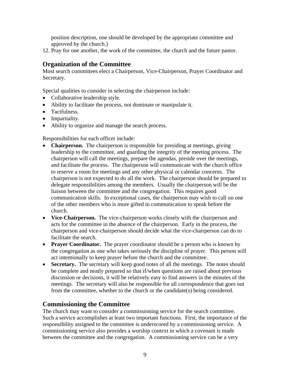position description, one should be developed by the appropriate committee and approved by the church.)

12. Pray for one another, the work of the committee, the church and the future pastor.

#### **Organization of the Committee**

Most search committees elect a Chairperson, Vice-Chairperson, Prayer Coordinator and Secretary.

Special qualities to consider in selecting the chairperson include:

- Collaborative leadership style.
- Ability to facilitate the process, not dominate or manipulate it.
- Tactfulness.
- Impartiality.
- Ability to organize and manage the search process.

Responsibilities for each officer include:

- **Chairperson.** The chairperson is responsible for presiding at meetings, giving leadership to the committee, and guarding the integrity of the meeting process. The chairperson will call the meetings, prepare the agendas, preside over the meetings, and facilitate the process. The chairperson will communicate with the church office to reserve a room for meetings and any other physical or calendar concerns. The chairperson is not expected to do all the work. The chairperson should be prepared to delegate responsibilities among the members. Usually the chairperson will be the liaison between the committee and the congregation. This requires good communication skills. In exceptional cases, the chairperson may wish to call on one of the other members who is more gifted in communication to speak before the church.
- **Vice-Chairperson.** The vice-chairperson works closely with the chairperson and acts for the committee in the absence of the chairperson. Early in the process, the chairperson and vice-chairperson should decide what the vice-chairperson can do to facilitate the search.
- **Prayer Coordinator.** The prayer coordinator should be a person who is known by the congregation as one who takes seriously the discipline of prayer. This person will act intentionally to keep prayer before the church and the committee.
- **Secretary.** The secretary will keep good notes of all the meetings. The notes should be complete and neatly prepared so that if/when questions are raised about previous discussion or decisions, it will be relatively easy to find answers in the minutes of the meetings. The secretary will also be responsible for all correspondence that goes out from the committee, whether to the church or the candidate(s) being considered.

#### **Commissioning the Committee**

The church may want to consider a commissioning service for the search committee. Such a service accomplishes at least two important functions. First, the importance of the responsibility assigned to the committee is underscored by a commissioning service. A commissioning service also provides a worship context in which a covenant is made between the committee and the congregation. A commissioning service can be a very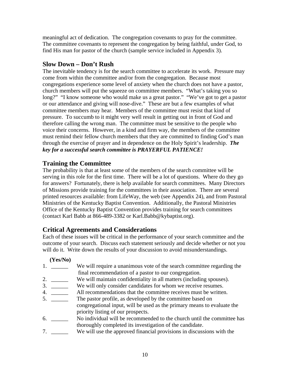meaningful act of dedication. The congregation covenants to pray for the committee. The committee covenants to represent the congregation by being faithful, under God, to find His man for pastor of the church (sample service included in Appendix 3).

#### **Slow Down – Don't Rush**

The inevitable tendency is for the search committee to accelerate its work. Pressure may come from within the committee and/or from the congregation. Because most congregations experience some level of anxiety when the church does not have a pastor, church members will put the squeeze on committee members. "What's taking you so long?" "I know someone who would make us a great pastor." "We've got to get a pastor or our attendance and giving will nose-dive." These are but a few examples of what committee members may hear. Members of the committee must resist that kind of pressure. To succumb to it might very well result in getting out in front of God and therefore calling the wrong man. The committee must be sensitive to the people who voice their concerns. However, in a kind and firm way, the members of the committee must remind their fellow church members that they are committed to finding God's man through the exercise of prayer and in dependence on the Holy Spirit's leadership. *The key for a successful search committee is PRAYERFUL PATIENCE!*

#### **Training the Committee**

The probability is that at least some of the members of the search committee will be serving in this role for the first time. There will be a lot of questions. Where do they go for answers? Fortunately, there is help available for search committees. Many Directors of Missions provide training for the committees in their association. There are several printed resources available: from LifeWay, the web (see Appendix 24), and from Pastoral Ministries of the Kentucky Baptist Convention. Additionally, the Pastoral Ministries Office of the Kentucky Baptist Convention provides training for search committees (contact Karl Babb at 866-489-3382 or Karl.Babb@kybaptist.org).

#### **Critical Agreements and Considerations**

Each of these issues will be critical in the performance of your search committee and the outcome of your search. Discuss each statement seriously and decide whether or not you will do it. Write down the results of your discussion to avoid misunderstandings.

#### **(Yes/No)**

- 1. \_\_\_\_\_\_\_ We will require a unanimous vote of the search committee regarding the final recommendation of a pastor to our congregation.
- 2. \_\_\_\_\_\_ We will maintain confidentiality in all matters (including spouses).
- 3. \_\_\_\_\_\_ We will only consider candidates for whom we receive resumes.
- 4. \_\_\_\_\_\_\_\_ All recommendations that the committee receives must be written.
- 5. \_\_\_\_\_\_\_\_ The pastor profile, as developed by the committee based on congregational input, will be used as the primary means to evaluate the priority listing of our prospects.
- 6. \_\_\_\_\_\_ No individual will be recommended to the church until the committee has thoroughly completed its investigation of the candidate.
- 7. \_\_\_\_\_\_ We will use the approved financial provisions in discussions with the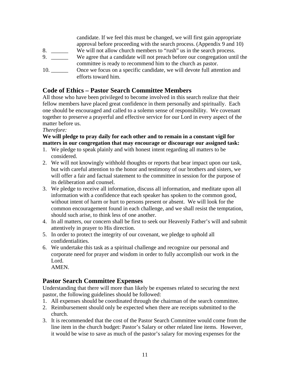candidate. If we feel this must be changed, we will first gain appropriate approval before proceeding with the search process. (Appendix 9 and 10) 8. \_\_\_\_\_\_ We will not allow church members to "rush" us in the search process. 9. \_\_\_\_\_\_ We agree that a candidate will not preach before our congregation until the committee is ready to recommend him to the church as pastor. 10. \_\_\_\_\_\_\_\_\_ Once we focus on a specific candidate, we will devote full attention and efforts toward him.

#### **Code of Ethics – Pastor Search Committee Members**

All those who have been privileged to become involved in this search realize that their fellow members have placed great confidence in them personally and spiritually. Each one should be encouraged and called to a solemn sense of responsibility. We covenant together to preserve a prayerful and effective service for our Lord in every aspect of the matter before us.

#### *Therefore:*

#### **We will pledge to pray daily for each other and to remain in a constant vigil for matters in our congregation that may encourage or discourage our assigned task:**

- 1. We pledge to speak plainly and with honest intent regarding all matters to be considered.
- 2. We will not knowingly withhold thoughts or reports that bear impact upon our task, but with careful attention to the honor and testimony of our brothers and sisters, we will offer a fair and factual statement to the committee in session for the purpose of its deliberation and counsel.
- 3. We pledge to receive all information, discuss all information, and meditate upon all information with a confidence that each speaker has spoken to the common good, without intent of harm or hurt to persons present or absent. We will look for the common encouragement found in each challenge, and we shall resist the temptation, should such arise, to think less of one another.
- 4. In all matters, our concern shall be first to seek our Heavenly Father's will and submit attentively in prayer to His direction.
- 5. In order to protect the integrity of our covenant, we pledge to uphold all confidentialities.
- 6. We undertake this task as a spiritual challenge and recognize our personal and corporate need for prayer and wisdom in order to fully accomplish our work in the Lord.

AMEN.

#### **Pastor Search Committee Expenses**

Understanding that there will more than likely be expenses related to securing the next pastor, the following guidelines should be followed:

- 1. All expenses should be coordinated through the chairman of the search committee.
- 2. Reimbursement should only be expected when there are receipts submitted to the church.
- 3. It is recommended that the cost of the Pastor Search Committee would come from the line item in the church budget: Pastor's Salary or other related line items. However, it would be wise to save as much of the pastor's salary for moving expenses for the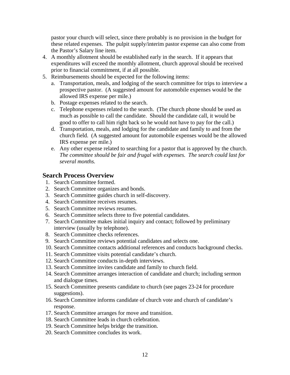pastor your church will select, since there probably is no provision in the budget for these related expenses. The pulpit supply/interim pastor expense can also come from the Pastor's Salary line item.

- 4. A monthly allotment should be established early in the search. If it appears that expenditures will exceed the monthly allotment, church approval should be received prior to financial commitment, if at all possible.
- 5. Reimbursements should be expected for the following items:
	- a. Transportation, meals, and lodging of the search committee for trips to interview a prospective pastor. (A suggested amount for automobile expenses would be the allowed IRS expense per mile.)
	- b. Postage expenses related to the search.
	- c. Telephone expenses related to the search. (The church phone should be used as much as possible to call the candidate. Should the candidate call, it would be good to offer to call him right back so he would not have to pay for the call.)
	- d. Transportation, meals, and lodging for the candidate and family to and from the church field. (A suggested amount for automobile expenses would be the allowed IRS expense per mile.)
	- e. Any other expense related to searching for a pastor that is approved by the church. *The committee should be fair and frugal with expenses. The search could last for several months.*

#### **Search Process Overview**

- 1. Search Committee formed.
- 2. Search Committee organizes and bonds.
- 3. Search Committee guides church in self-discovery.
- 4. Search Committee receives resumes.
- 5. Search Committee reviews resumes.
- 6. Search Committee selects three to five potential candidates.
- 7. Search Committee makes initial inquiry and contact; followed by preliminary interview (usually by telephone).
- 8. Search Committee checks references.
- 9. Search Committee reviews potential candidates and selects one.
- 10. Search Committee contacts additional references and conducts background checks.
- 11. Search Committee visits potential candidate's church.
- 12. Search Committee conducts in-depth interviews.
- 13. Search Committee invites candidate and family to church field.
- 14. Search Committee arranges interaction of candidate and church; including sermon and dialogue times.
- 15. Search Committee presents candidate to church (see pages 23-24 for procedure suggestions).
- 16. Search Committee informs candidate of church vote and church of candidate's response.
- 17. Search Committee arranges for move and transition.
- 18. Search Committee leads in church celebration.
- 19. Search Committee helps bridge the transition.
- 20. Search Committee concludes its work.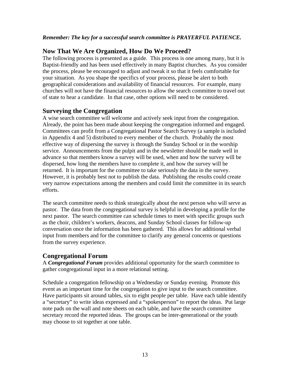#### *Remember: The key for a successful search committee is PRAYERFUL PATIENCE.*

#### **Now That We Are Organized, How Do We Proceed?**

The following process is presented as a guide. This process is one among many, but it is Baptist-friendly and has been used effectively in many Baptist churches. As you consider the process, please be encouraged to adjust and tweak it so that it feels comfortable for your situation. As you shape the specifics of your process, please be alert to both geographical considerations and availability of financial resources. For example, many churches will not have the financial resources to allow the search committee to travel out of state to hear a candidate. In that case, other options will need to be considered.

#### **Surveying the Congregation**

A wise search committee will welcome and actively seek input from the congregation. Already, the point has been made about keeping the congregation informed and engaged. Committees can profit from a Congregational Pastor Search Survey (a sample is included in Appendix 4 and 5) distributed to every member of the church. Probably the most effective way of dispersing the survey is through the Sunday School or in the worship service. Announcements from the pulpit and in the newsletter should be made well in advance so that members know a survey will be used, when and how the survey will be dispersed, how long the members have to complete it, and how the survey will be returned. It is important for the committee to take seriously the data in the survey. However, it is probably best not to publish the data. Publishing the results could create very narrow expectations among the members and could limit the committee in its search efforts.

The search committee needs to think strategically about the next person who will serve as pastor. The data from the congregational survey is helpful in developing a profile for the next pastor. The search committee can schedule times to meet with specific groups such as the choir, children's workers, deacons, and Sunday School classes for follow-up conversation once the information has been gathered. This allows for additional verbal input from members and for the committee to clarify any general concerns or questions from the survey experience.

#### **Congregational Forum**

A *Congregational Forum* provides additional opportunity for the search committee to gather congregational input in a more relational setting.

Schedule a congregation fellowship on a Wednesday or Sunday evening. Promote this event as an important time for the congregation to give input to the search committee. Have participants sit around tables, six to eight people per table. Have each table identify a "secretary" to write ideas expressed and a "spokesperson" to report the ideas. Put large note pads on the wall and note sheets on each table, and have the search committee secretary record the reported ideas. The groups can be inter-generational or the youth may choose to sit together at one table.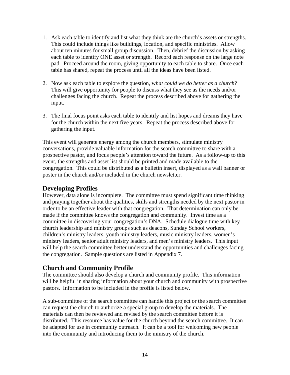- 1. Ask each table to identify and list what they think are the church's assets or strengths. This could include things like buildings, location, and specific ministries. Allow about ten minutes for small group discussion. Then, debrief the discussion by asking each table to identify ONE asset or strength. Record each response on the large note pad. Proceed around the room, giving opportunity to each table to share. Once each table has shared, repeat the process until all the ideas have been listed.
- 2. Now ask each table to explore the question, w*hat could we do better as a church*? This will give opportunity for people to discuss what they see as the needs and/or challenges facing the church. Repeat the process described above for gathering the input.
- 3. The final focus point asks each table to identify and list hopes and dreams they have for the church within the next five years. Repeat the process described above for gathering the input.

This event will generate energy among the church members, stimulate ministry conversations, provide valuable information for the search committee to share with a prospective pastor, and focus people's attention toward the future. As a follow-up to this event, the strengths and asset list should be printed and made available to the congregation. This could be distributed as a bulletin insert, displayed as a wall banner or poster in the church and/or included in the church newsletter.

#### **Developing Profiles**

However, data alone is incomplete. The committee must spend significant time thinking and praying together about the qualities, skills and strengths needed by the next pastor in order to be an effective leader with that congregation. That determination can only be made if the committee knows the congregation and community. Invest time as a committee in discovering your congregation's DNA. Schedule dialogue time with key church leadership and ministry groups such as deacons, Sunday School workers, children's ministry leaders, youth ministry leaders, music ministry leaders, women's ministry leaders, senior adult ministry leaders, and men's ministry leaders. This input will help the search committee better understand the opportunities and challenges facing the congregation. Sample questions are listed in Appendix 7.

#### **Church and Community Profile**

The committee should also develop a church and community profile. This information will be helpful in sharing information about your church and community with prospective pastors. Information to be included in the profile is listed below.

A sub-committee of the search committee can handle this project or the search committee can request the church to authorize a special group to develop the materials. The materials can then be reviewed and revised by the search committee before it is distributed. This resource has value for the church beyond the search committee. It can be adapted for use in community outreach. It can be a tool for welcoming new people into the community and introducing them to the ministry of the church.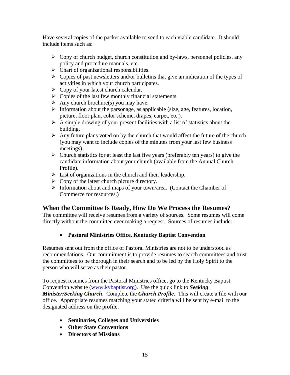Have several copies of the packet available to send to each viable candidate. It should include items such as:

- $\triangleright$  Copy of church budget, church constitution and by-laws, personnel policies, any policy and procedure manuals, etc.
- $\triangleright$  Chart of organizational responsibilities.
- $\triangleright$  Copies of past newsletters and/or bulletins that give an indication of the types of activities in which your church participates.
- $\triangleright$  Copy of your latest church calendar.
- $\triangleright$  Copies of the last few monthly financial statements.
- $\triangleright$  Any church brochure(s) you may have.
- $\triangleright$  Information about the parsonage, as applicable (size, age, features, location, picture, floor plan, color scheme, drapes, carpet, etc.).
- $\triangleright$  A simple drawing of your present facilities with a list of statistics about the building.
- $\triangleright$  Any future plans voted on by the church that would affect the future of the church (you may want to include copies of the minutes from your last few business meetings).
- $\triangleright$  Church statistics for at least the last five years (preferably ten years) to give the candidate information about your church (available from the Annual Church Profile).
- $\triangleright$  List of organizations in the church and their leadership.
- $\triangleright$  Copy of the latest church picture directory.
- $\triangleright$  Information about and maps of your town/area. (Contact the Chamber of Commerce for resources.)

#### **When the Committee Is Ready, How Do We Process the Resumes?**

The committee will receive resumes from a variety of sources. Some resumes will come directly without the committee ever making a request. Sources of resumes include:

#### • **Pastoral Ministries Office, Kentucky Baptist Convention**

Resumes sent out from the office of Pastoral Ministries are not to be understood as recommendations. Our commitment is to provide resumes to search committees and trust the committees to be thorough in their search and to be led by the Holy Spirit to the person who will serve as their pastor.

To request resumes from the Pastoral Ministries office, go to the Kentucky Baptist Convention website ([www.kybaptist.org\)](http://www.kybaptist.org/). Use the quick link to *Seeking Minister/Seeking Church*. Complete the *Church Profile*. This will create a file with our office. Appropriate resumes matching your stated criteria will be sent by e-mail to the designated address on the profile.

- **Seminaries, Colleges and Universities**
- **Other State Conventions**
- **Directors of Missions**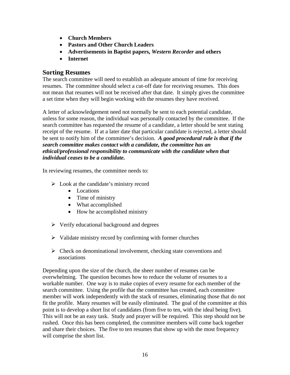- **Church Members**
- **Pastors and Other Church Leaders**
- **Advertisements in Baptist papers,** *Western Recorder* **and others**
- **Internet**

#### **Sorting Resumes**

The search committee will need to establish an adequate amount of time for receiving resumes. The committee should select a cut-off date for receiving resumes. This does not mean that resumes will not be received after that date. It simply gives the committee a set time when they will begin working with the resumes they have received.

A letter of acknowledgement need not normally be sent to each potential candidate, unless for some reason, the individual was personally contacted by the committee. If the search committee has requested the resume of a candidate, a letter should be sent stating receipt of the resume. If at a later date that particular candidate is rejected, a letter should be sent to notify him of the committee's decision. *A good procedural rule is that if the search committee makes contact with a candidate, the committee has an ethical/professional responsibility to communicate with the candidate when that individual ceases to be a candidate.* 

In reviewing resumes, the committee needs to:

- $\triangleright$  Look at the candidate's ministry record
	- Locations
	- Time of ministry
	- What accomplished
	- How he accomplished ministry
- $\triangleright$  Verify educational background and degrees
- $\triangleright$  Validate ministry record by confirming with former churches
- $\triangleright$  Check on denominational involvement, checking state conventions and associations

Depending upon the size of the church, the sheer number of resumes can be overwhelming. The question becomes how to reduce the volume of resumes to a workable number. One way is to make copies of every resume for each member of the search committee. Using the profile that the committee has created, each committee member will work independently with the stack of resumes, eliminating those that do not fit the profile. Many resumes will be easily eliminated. The goal of the committee at this point is to develop a short list of candidates (from five to ten, with the ideal being five). This will not be an easy task. Study and prayer will be required. This step should not be rushed. Once this has been completed, the committee members will come back together and share their choices. The five to ten resumes that show up with the most frequency will comprise the short list.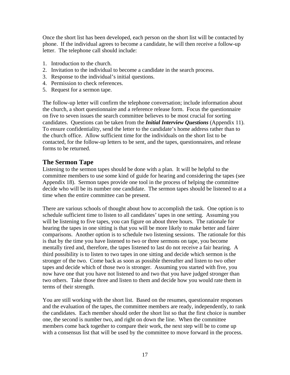Once the short list has been developed, each person on the short list will be contacted by phone. If the individual agrees to become a candidate, he will then receive a follow-up letter. The telephone call should include:

- 1. Introduction to the church.
- 2. Invitation to the individual to become a candidate in the search process.
- 3. Response to the individual's initial questions.
- 4. Permission to check references.
- 5. Request for a sermon tape.

The follow-up letter will confirm the telephone conversation; include information about the church, a short questionnaire and a reference release form. Focus the questionnaire on five to seven issues the search committee believes to be most crucial for sorting candidates. Questions can be taken from the *Initial Interview Questions* (Appendix 11). To ensure confidentiality, send the letter to the candidate's home address rather than to the church office. Allow sufficient time for the individuals on the short list to be contacted, for the follow-up letters to be sent, and the tapes, questionnaires, and release forms to be returned.

#### **The Sermon Tape**

Listening to the sermon tapes should be done with a plan. It will be helpful to the committee members to use some kind of guide for hearing and considering the tapes (see Appendix 18). Sermon tapes provide one tool in the process of helping the committee decide who will be its number one candidate. The sermon tapes should be listened to at a time when the entire committee can be present.

There are various schools of thought about how to accomplish the task. One option is to schedule sufficient time to listen to all candidates' tapes in one setting. Assuming you will be listening to five tapes, you can figure on about three hours. The rationale for hearing the tapes in one sitting is that you will be more likely to make better and fairer comparisons. Another option is to schedule two listening sessions. The rationale for this is that by the time you have listened to two or three sermons on tape, you become mentally tired and, therefore, the tapes listened to last do not receive a fair hearing. A third possibility is to listen to two tapes in one sitting and decide which sermon is the stronger of the two. Come back as soon as possible thereafter and listen to two other tapes and decide which of those two is stronger. Assuming you started with five, you now have one that you have not listened to and two that you have judged stronger than two others. Take those three and listen to them and decide how you would rate them in terms of their strength.

You are still working with the short list. Based on the resumes, questionnaire responses and the evaluation of the tapes, the committee members are ready, independently, to rank the candidates. Each member should order the short list so that the first choice is number one, the second is number two, and right on down the line. When the committee members come back together to compare their work, the next step will be to come up with a consensus list that will be used by the committee to move forward in the process.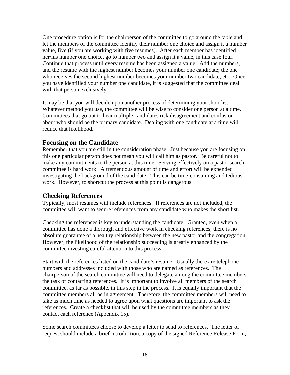One procedure option is for the chairperson of the committee to go around the table and let the members of the committee identify their number one choice and assign it a number value, five (if you are working with five resumes). After each member has identified her/his number one choice, go to number two and assign it a value, in this case four. Continue that process until every resume has been assigned a value. Add the numbers, and the resume with the highest number becomes your number one candidate; the one who receives the second highest number becomes your number two candidate, etc. Once you have identified your number one candidate, it is suggested that the committee deal with that person exclusively.

It may be that you will decide upon another process of determining your short list. Whatever method you use, the committee will be wise to consider one person at a time. Committees that go out to hear multiple candidates risk disagreement and confusion about who should be the primary candidate. Dealing with one candidate at a time will reduce that likelihood.

#### **Focusing on the Candidate**

Remember that you are still in the consideration phase. Just because you are focusing on this one particular person does not mean you will call him as pastor. Be careful not to make any commitments to the person at this time. Serving effectively on a pastor search committee is hard work. A tremendous amount of time and effort will be expended investigating the background of the candidate. This can be time-consuming and tedious work. However, to shortcut the process at this point is dangerous.

#### **Checking References**

Typically, most resumes will include references. If references are not included, the committee will want to secure references from any candidate who makes the short list.

Checking the references is key to understanding the candidate. Granted, even when a committee has done a thorough and effective work in checking references, there is no absolute guarantee of a healthy relationship between the new pastor and the congregation. However, the likelihood of the relationship succeeding is greatly enhanced by the committee investing careful attention to this process.

Start with the references listed on the candidate's resume. Usually there are telephone numbers and addresses included with those who are named as references. The chairperson of the search committee will need to delegate among the committee members the task of contacting references. It is important to involve all members of the search committee, as far as possible, in this step in the process. It is equally important that the committee members all be in agreement. Therefore, the committee members will need to take as much time as needed to agree upon what questions are important to ask the references. Create a checklist that will be used by the committee members as they contact each reference (Appendix 15).

Some search committees choose to develop a letter to send to references. The letter of request should include a brief introduction, a copy of the signed Reference Release Form,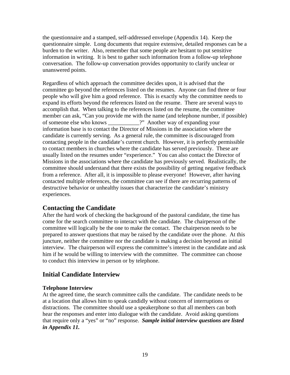the questionnaire and a stamped, self-addressed envelope (Appendix 14). Keep the questionnaire simple. Long documents that require extensive, detailed responses can be a burden to the writer. Also, remember that some people are hesitant to put sensitive information in writing. It is best to gather such information from a follow-up telephone conversation. The follow-up conversation provides opportunity to clarify unclear or unanswered points.

Regardless of which approach the committee decides upon, it is advised that the committee go beyond the references listed on the resumes. Anyone can find three or four people who will give him a good reference. This is exactly why the committee needs to expand its efforts beyond the references listed on the resume. There are several ways to accomplish that. When talking to the references listed on the resume, the committee member can ask, "Can you provide me with the name (and telephone number, if possible) of someone else who knows \_\_\_\_\_\_\_\_\_\_\_?" Another way of expanding your information base is to contact the Director of Missions in the association where the candidate is currently serving. As a general rule, the committee is discouraged from contacting people in the candidate's current church. However, it is perfectly permissible to contact members in churches where the candidate has served previously. These are usually listed on the resumes under "experience." You can also contact the Director of Missions in the associations where the candidate has previously served. Realistically, the committee should understand that there exists the possibility of getting negative feedback from a reference. After all, it is impossible to please everyone! However, after having contacted multiple references, the committee can see if there are recurring patterns of destructive behavior or unhealthy issues that characterize the candidate's ministry experiences.

#### **Contacting the Candidate**

After the hard work of checking the background of the pastoral candidate, the time has come for the search committee to interact with the candidate. The chairperson of the committee will logically be the one to make the contact. The chairperson needs to be prepared to answer questions that may be raised by the candidate over the phone. At this juncture, neither the committee nor the candidate is making a decision beyond an initial interview. The chairperson will express the committee's interest in the candidate and ask him if he would be willing to interview with the committee. The committee can choose to conduct this interview in person or by telephone.

#### **Initial Candidate Interview**

#### **Telephone Interview**

At the agreed time, the search committee calls the candidate. The candidate needs to be at a location that allows him to speak candidly without concern of interruptions or distractions. The committee should use a speakerphone so that all members can both hear the responses and enter into dialogue with the candidate. Avoid asking questions that require only a "yes" or "no" response. *Sample initial interview questions are listed in Appendix 11.*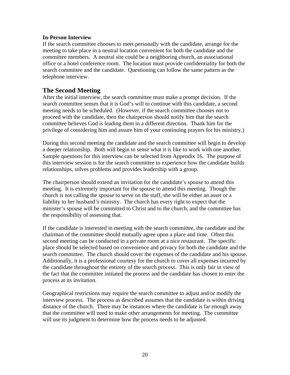#### **In-Person Interview**

If the search committee chooses to meet personally with the candidate, arrange for the meeting to take place in a neutral location convenient for both the candidate and the committee members. A neutral site could be a neighboring church, an associational office or a hotel conference room. The location must provide confidentiality for both the search committee and the candidate. Questioning can follow the same pattern as the telephone interview.

#### **The Second Meeting**

After the initial interview, the search committee must make a prompt decision. If the search committee senses that it is God's will to continue with this candidate, a second meeting needs to be scheduled. (However, if the search committee chooses not to proceed with the candidate, then the chairperson should notify him that the search committee believes God is leading them in a different direction. Thank him for the privilege of considering him and assure him of your continuing prayers for his ministry.)

During this second meeting the candidate and the search committee will begin to develop a deeper relationship. Both will begin to sense what it is like to work with one another. Sample questions for this interview can be selected from Appendix 16. The purpose of this interview session is for the search committee to experience how the candidate builds relationships, solves problems and provides leadership with a group.

The chairperson should extend an invitation for the candidate's spouse to attend this meeting. It is extremely important for the spouse to attend this meeting. Though the church is not calling the spouse to serve on the staff, she will be either an asset or a liability to her husband's ministry. The church has every right to expect that the minister's spouse will be committed to Christ and to the church, and the committee has the responsibility of assessing that.

If the candidate is interested in meeting with the search committee, the candidate and the chairman of the committee should mutually agree upon a place and time. Often this second meeting can be conducted in a private room at a nice restaurant. The specific place should be selected based on convenience and privacy for both the candidate and the search committee. The church should cover the expenses of the candidate and his spouse. Additionally, it is a professional courtesy for the church to cover all expenses incurred by the candidate throughout the entirety of the search process. This is only fair in view of the fact that the committee initiated the process and the candidate has chosen to enter the process at its invitation.

Geographical restrictions may require the search committee to adjust and/or modify the interview process. The process as described assumes that the candidate is within driving distance of the church. There may be instances where the candidate is far enough away that the committee will need to make other arrangements for meeting. The committee will use its judgment to determine how the process needs to be adjusted.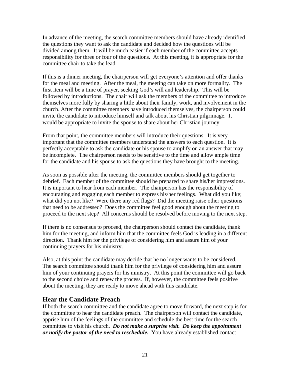In advance of the meeting, the search committee members should have already identified the questions they want to ask the candidate and decided how the questions will be divided among them. It will be much easier if each member of the committee accepts responsibility for three or four of the questions. At this meeting, it is appropriate for the committee chair to take the lead.

If this is a dinner meeting, the chairperson will get everyone's attention and offer thanks for the meal and meeting. After the meal, the meeting can take on more formality. The first item will be a time of prayer, seeking God's will and leadership. This will be followed by introductions. The chair will ask the members of the committee to introduce themselves more fully by sharing a little about their family, work, and involvement in the church. After the committee members have introduced themselves, the chairperson could invite the candidate to introduce himself and talk about his Christian pilgrimage. It would be appropriate to invite the spouse to share about her Christian journey.

From that point, the committee members will introduce their questions. It is very important that the committee members understand the answers to each question. It is perfectly acceptable to ask the candidate or his spouse to amplify on an answer that may be incomplete. The chairperson needs to be sensitive to the time and allow ample time for the candidate and his spouse to ask the questions they have brought to the meeting.

As soon as possible after the meeting, the committee members should get together to debrief. Each member of the committee should be prepared to share his/her impressions. It is important to hear from each member. The chairperson has the responsibility of encouraging and engaging each member to express his/her feelings. What did you like; what did you not like? Were there any red flags? Did the meeting raise other questions that need to be addressed? Does the committee feel good enough about the meeting to proceed to the next step? All concerns should be resolved before moving to the next step.

If there is no consensus to proceed, the chairperson should contact the candidate, thank him for the meeting, and inform him that the committee feels God is leading in a different direction. Thank him for the privilege of considering him and assure him of your continuing prayers for his ministry.

Also, at this point the candidate may decide that he no longer wants to be considered. The search committee should thank him for the privilege of considering him and assure him of your continuing prayers for his ministry. At this point the committee will go back to the second choice and renew the process. If, however, the committee feels positive about the meeting, they are ready to move ahead with this candidate.

#### **Hear the Candidate Preach**

If both the search committee and the candidate agree to move forward, the next step is for the committee to hear the candidate preach. The chairperson will contact the candidate, apprise him of the feelings of the committee and schedule the best time for the search committee to visit his church. *Do not make a surprise visit. Do keep the appointment or notify the pastor of the need to reschedule***.** You have already established contact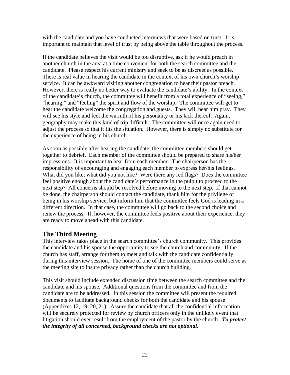with the candidate and you have conducted interviews that were based on trust. It is important to maintain that level of trust by being above the table throughout the process.

If the candidate believes the visit would be too disruptive, ask if he would preach in another church in the area at a time convenient for both the search committee and the candidate. Please respect his current ministry and seek to be as discreet as possible. There is real value in hearing the candidate in the context of his own church's worship service. It can be awkward visiting another congregation to hear their pastor preach. However, there is really no better way to evaluate the candidate's ability. In the context of the candidate's church, the committee will benefit from a total experience of "seeing," "hearing," and "feeling" the spirit and flow of the worship. The committee will get to hear the candidate welcome the congregation and guests. They will hear him pray. They will see his style and feel the warmth of his personality or his lack thereof. Again, geography may make this kind of trip difficult. The committee will once again need to adjust the process so that it fits the situation. However, there is simply no substitute for the experience of being in his church.

As soon as possible after hearing the candidate, the committee members should get together to debrief. Each member of the committee should be prepared to share his/her impressions. It is important to hear from each member. The chairperson has the responsibility of encouraging and engaging each member to express her/his feelings. What did you like; what did you not like? Were there any red flags? Does the committee feel positive enough about the candidate's performance in the pulpit to proceed to the next step? All concerns should be resolved before moving to the next step. If that cannot be done, the chairperson should contact the candidate, thank him for the privilege of being in his worship service, but inform him that the committee feels God is leading in a different direction. In that case, the committee will go back to the second choice and renew the process. If, however, the committee feels positive about their experience, they are ready to move ahead with this candidate.

#### **The Third Meeting**

This interview takes place in the search committee's church community. This provides the candidate and his spouse the opportunity to see the church and community. If the church has staff, arrange for them to meet and talk with the candidate confidentially during this interview session. The home of one of the committee members could serve as the meeting site to insure privacy rather than the church building.

This visit should include extended discussion time between the search committee and the candidate and his spouse. Additional questions from the committee and from the candidate are to be addressed. In this session the committee will present the required documents to facilitate background checks for both the candidate and his spouse (Appendixes 12, 19, 20, 21). Assure the candidate that all the confidential information will be securely protected for review by church officers only in the unlikely event that litigation should ever result from the employment of the pastor by the church. *To protect the integrity of all concerned, background checks are not optional.*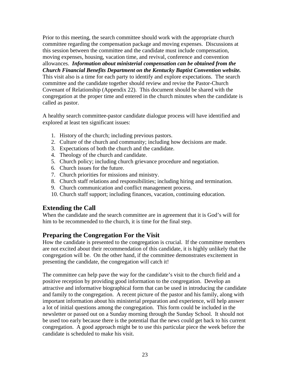Prior to this meeting, the search committee should work with the appropriate church committee regarding the compensation package and moving expenses. Discussions at this session between the committee and the candidate must include compensation, moving expenses, housing, vacation time, and revival, conference and convention allowances. *Information about ministerial compensation can be obtained from the Church Financial Benefits Department on the Kentucky Baptist Convention website.*  This visit also is a time for each party to identify and explore expectations. The search committee and the candidate together should review and revise the Pastor-Church Covenant of Relationship (Appendix 22). This document should be shared with the congregation at the proper time and entered in the church minutes when the candidate is called as pastor.

A healthy search committee-pastor candidate dialogue process will have identified and explored at least ten significant issues:

- 1. History of the church; including previous pastors.
- 2. Culture of the church and community; including how decisions are made.
- 3. Expectations of both the church and the candidate.
- 4. Theology of the church and candidate.
- 5. Church policy; including church grievance procedure and negotiation.
- 6. Church issues for the future.
- 7. Church priorities for missions and ministry.
- 8. Church staff relations and responsibilities; including hiring and termination.
- 9. Church communication and conflict management process.
- 10. Church staff support; including finances, vacation, continuing education.

#### **Extending the Call**

When the candidate and the search committee are in agreement that it is God's will for him to be recommended to the church, it is time for the final step.

#### **Preparing the Congregation For the Visit**

How the candidate is presented to the congregation is crucial. If the committee members are not excited about their recommendation of this candidate, it is highly unlikely that the congregation will be. On the other hand, if the committee demonstrates excitement in presenting the candidate, the congregation will catch it!

The committee can help pave the way for the candidate's visit to the church field and a positive reception by providing good information to the congregation. Develop an attractive and informative biographical form that can be used in introducing the candidate and family to the congregation. A recent picture of the pastor and his family, along with important information about his ministerial preparation and experience, will help answer a lot of initial questions among the congregation. This form could be included in the newsletter or passed out on a Sunday morning through the Sunday School. It should not be used too early because there is the potential that the news could get back to his current congregation. A good approach might be to use this particular piece the week before the candidate is scheduled to make his visit.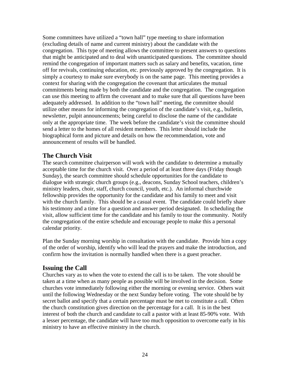Some committees have utilized a "town hall" type meeting to share information (excluding details of name and current ministry) about the candidate with the congregation. This type of meeting allows the committee to present answers to questions that might be anticipated and to deal with unanticipated questions. The committee should remind the congregation of important matters such as salary and benefits, vacation, time off for revivals, continuing education, etc. previously approved by the congregation. It is simply a courtesy to make sure everybody is on the same page. This meeting provides a context for sharing with the congregation the covenant that articulates the mutual commitments being made by both the candidate and the congregation. The congregation can use this meeting to affirm the covenant and to make sure that all questions have been adequately addressed. In addition to the "town hall" meeting, the committee should utilize other means for informing the congregation of the candidate's visit, e.g., bulletin, newsletter, pulpit announcements; being careful to disclose the name of the candidate only at the appropriate time. The week before the candidate's visit the committee should send a letter to the homes of all resident members. This letter should include the biographical form and picture and details on how the recommendation, vote and announcement of results will be handled.

#### **The Church Visit**

The search committee chairperson will work with the candidate to determine a mutually acceptable time for the church visit. Over a period of at least three days (Friday though Sunday), the search committee should schedule opportunities for the candidate to dialogue with strategic church groups (e.g., deacons, Sunday School teachers, children's ministry leaders, choir, staff, church council, youth, etc.). An informal churchwide fellowship provides the opportunity for the candidate and his family to meet and visit with the church family. This should be a casual event. The candidate could briefly share his testimony and a time for a question and answer period designated. In scheduling the visit, allow sufficient time for the candidate and his family to tour the community. Notify the congregation of the entire schedule and encourage people to make this a personal calendar priority.

Plan the Sunday morning worship in consultation with the candidate. Provide him a copy of the order of worship, identify who will lead the prayers and make the introduction, and confirm how the invitation is normally handled when there is a guest preacher.

#### **Issuing the Call**

Churches vary as to when the vote to extend the call is to be taken. The vote should be taken at a time when as many people as possible will be involved in the decision. Some churches vote immediately following either the morning or evening service. Others wait until the following Wednesday or the next Sunday before voting. The vote should be by secret ballot and specify that a certain percentage must be met to constitute a call. Often the church constitution gives direction on the percentage for a call. It is in the best interest of both the church and candidate to call a pastor with at least 85-90% vote. With a lesser percentage, the candidate will have too much opposition to overcome early in his ministry to have an effective ministry in the church.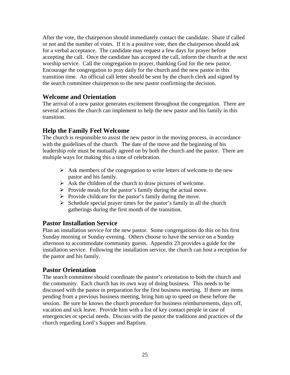After the vote, the chairperson should immediately contact the candidate. Share if called or not and the number of votes. If it is a positive vote, then the chairperson should ask for a verbal acceptance. The candidate may request a few days for prayer before accepting the call. Once the candidate has accepted the call, inform the church at the next worship service. Call the congregation to prayer, thanking God for the new pastor. Encourage the congregation to pray daily for the church and the new pastor in this transition time. An official call letter should be sent by the church clerk and signed by the search committee chairperson to the new pastor confirming the decision.

#### **Welcome and Orientation**

The arrival of a new pastor generates excitement throughout the congregation. There are several actions the church can implement to help the new pastor and his family in this transition.

#### **Help the Family Feel Welcome**

The church is responsible to assist the new pastor in the moving process, in accordance with the guidelines of the church. The date of the move and the beginning of his leadership role must be mutually agreed on by both the church and the pastor. There are multiple ways for making this a time of celebration.

- $\triangleright$  Ask members of the congregation to write letters of welcome to the new pastor and his family.
- $\triangleright$  Ask the children of the church to draw pictures of welcome.
- $\triangleright$  Provide meals for the pastor's family during the actual move.
- $\triangleright$  Provide childcare for the pastor's family during the move.
- $\triangleright$  Schedule special prayer times for the pastor's family in all the church gatherings during the first month of the transition.

#### **Pastor Installation Service**

Plan an installation service for the new pastor. Some congregations do this on his first Sunday morning or Sunday evening. Others choose to have the service on a Sunday afternoon to accommodate community guests. Appendix 23 provides a guide for the installation service. Following the installation service, the church can host a reception for the pastor and his family.

#### **Pastor Orientation**

The search committee should coordinate the pastor's orientation to both the church and the community. Each church has its own way of doing business. This needs to be discussed with the pastor in preparation for the first business meeting. If there are items pending from a previous business meeting, bring him up to speed on these before the session. Be sure he knows the church procedure for business reimbursements, days off, vacation and sick leave. Provide him with a list of key contact people in case of emergencies or special needs. Discuss with the pastor the traditions and practices of the church regarding Lord's Supper and Baptism.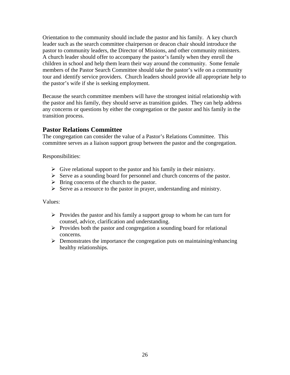Orientation to the community should include the pastor and his family. A key church leader such as the search committee chairperson or deacon chair should introduce the pastor to community leaders, the Director of Missions, and other community ministers. A church leader should offer to accompany the pastor's family when they enroll the children in school and help them learn their way around the community. Some female members of the Pastor Search Committee should take the pastor's wife on a community tour and identify service providers. Church leaders should provide all appropriate help to the pastor's wife if she is seeking employment.

Because the search committee members will have the strongest initial relationship with the pastor and his family, they should serve as transition guides. They can help address any concerns or questions by either the congregation or the pastor and his family in the transition process.

#### **Pastor Relations Committee**

The congregation can consider the value of a Pastor's Relations Committee. This committee serves as a liaison support group between the pastor and the congregation.

Responsibilities:

- $\triangleright$  Give relational support to the pastor and his family in their ministry.
- $\triangleright$  Serve as a sounding board for personnel and church concerns of the pastor.
- $\triangleright$  Bring concerns of the church to the pastor.
- $\triangleright$  Serve as a resource to the pastor in prayer, understanding and ministry.

Values:

- $\triangleright$  Provides the pastor and his family a support group to whom he can turn for counsel, advice, clarification and understanding.
- $\triangleright$  Provides both the pastor and congregation a sounding board for relational concerns.
- $\triangleright$  Demonstrates the importance the congregation puts on maintaining/enhancing healthy relationships.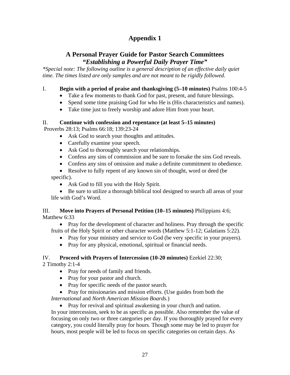#### **Appendix 1**

#### **A Personal Prayer Guide for Pastor Search Committees**  *"Establishing a Powerful Daily Prayer Time"*

*\*Special note: The following outline is a general description of an effective daily quiet time. The times listed are only samples and are not meant to be rigidly followed.* 

#### I. **Begin with a period of praise and thanksgiving (5–10 minutes)** Psalms 100:4-5

- Take a few moments to thank God for past, present, and future blessings.
- Spend some time praising God for who He is (His characteristics and names).
- Take time just to freely worship and adore Him from your heart.

#### II. **Continue with confession and repentance (at least 5–15 minutes)**

Proverbs 28:13; Psalms 66:18; 139:23-24

- Ask God to search your thoughts and attitudes.
- Carefully examine your speech.
- Ask God to thoroughly search your relationships.
- Confess any sins of commission and be sure to forsake the sins God reveals.
- Confess any sins of omission and make a definite commitment to obedience.
- Resolve to fully repent of any known sin of thought, word or deed (be) specific).
	- Ask God to fill you with the Holy Spirit.

• Be sure to utilize a thorough biblical tool designed to search all areas of your life with God's Word.

#### III. **Move into Prayers of Personal Petition (10–15 minutes)** Philippians 4:6; Matthew 6:33

• Pray for the development of character and holiness. Pray through the specific fruits of the Holy Spirit or other character words (Matthew 5:1-12; Galatians 5:22).

- Pray for your ministry and service to God (be very specific in your prayers).
- Pray for any physical, emotional, spiritual or financial needs.

## IV. **Proceed with Prayers of Intercession (10-20 minutes)** Ezekiel 22:30;

2 Timothy 2:1-4

- Pray for needs of family and friends.
- Pray for your pastor and church.
- Pray for specific needs of the pastor search.
- Pray for missionaries and mission efforts. (Use guides from both the *International* and *North American Mission Boards.*)
	- Pray for revival and spiritual awakening in your church and nation.

In your intercession, seek to be as specific as possible. Also remember the value of focusing on only two or three categories per day. If you thoroughly prayed for every category, you could literally pray for hours. Though some may be led to prayer for hours, most people will be led to focus on specific categories on certain days. As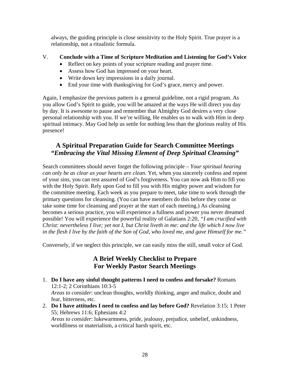always, the guiding principle is close sensitivity to the Holy Spirit. True prayer is a relationship, not a ritualistic formula.

#### V. **Conclude with a Time of Scripture Meditation and Listening for God's Voice**

- Reflect on key points of your scripture reading and prayer time.
- Assess how God has impressed on your heart.
- Write down key impressions in a daily journal.
- End your time with thanksgiving for God's grace, mercy and power.

Again, I emphasize the previous pattern is a general guideline, not a rigid program. As you allow God's Spirit to guide, you will be amazed at the ways He will direct you day by day. It is awesome to pause and remember that Almighty God desires a very close personal relationship with you. If we're willing, He enables us to walk with Him in deep spiritual intimacy. May God help us settle for nothing less than the glorious reality of His presence!

#### **A Spiritual Preparation Guide for Search Committee Meetings**  *"Embracing the Vital Missing Element of Deep Spiritual Cleansing"*

Search committees should never forget the following principle – *Your spiritual hearing can only be as clear as your hearts are clean*. Yet, when you sincerely confess and repent of your sins, you can rest assured of God's forgiveness. You can now ask Him to fill you with the Holy Spirit. Rely upon God to fill you with His mighty power and wisdom for the committee meeting. Each week as you prepare to meet, take time to work through the primary questions for cleansing. (You can have members do this before they come or take some time for cleansing and prayer at the start of each meeting.) As cleansing becomes a serious practice, you will experience a fullness and power you never dreamed possible! You will experience the powerful reality of Galatians 2:20, *"I am crucified with Christ: nevertheless I live; yet not I, but Christ liveth in me: and the life which I now live in the flesh I live by the faith of the Son of God, who loved me, and gave Himself for me."*

Conversely, if we neglect this principle, we can easily miss the still, small voice of God.

#### **A Brief Weekly Checklist to Prepare For Weekly Pastor Search Meetings**

- 1. **Do I have any sinful thought patterns I need to confess and forsake?** Romans 12:1-2; 2 Corinthians 10:3-5 *Areas to consider*: unclean thoughts, worldly thinking, anger and malice, doubt and fear, bitterness, etc.
- 2. **Do I have attitudes I need to confess and lay before God?** Revelation 3:15; 1 Peter 55; Hebrews 11:6; Ephesians 4:2 *Areas to consider*: lukewarmness, pride, jealousy, prejudice, unbelief, unkindness, worldliness or materialism, a critical harsh spirit, etc.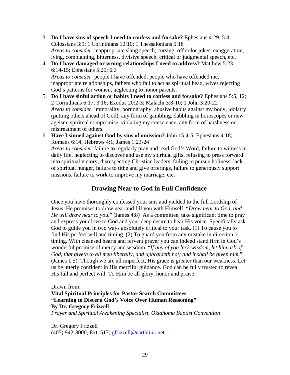- 3. **Do I have sins of speech I need to confess and forsake?** Ephesians 4:29; 5:4; Colossians 3:9; 1 Corinthians 10:10; 1 Thessalonians 5:18 *Areas to consider*: inappropriate slang speech, cursing, off color jokes, exaggeration, lying, complaining, bitterness, divisive speech, critical or judgmental speech, etc.
- 4. **Do I have damaged or wrong relationships I need to address?** Matthew 5:23; 6:14-15; Ephesians 5:25; 6:3 *Areas to consider*: people I have offended, people who have offended me,

inappropriate relationships, fathers who fail to act as spiritual head, wives rejecting God's patterns for women, neglecting to honor parents.

- 5. **Do I have sinful action or habits I need to confess and forsake?** Ephesians 5:5, 12; 2 Corinthians 6:17; 3:16; Exodus 20:2-3; Malachi 3:8-10; 1 John 3:20-22 *Areas to consider*: immorality, pornography, abusive habits against my body, idolatry (putting others ahead of God), any form of gambling, dabbling in horoscopes or new ageism, spiritual compromise, violating my conscience, any form of harshness or mistreatment of others.
- 6. **Have I sinned against God by sins of omission?** John 15:4-5; Ephesians 4:18; Romans 6:14; Hebrews 4:1; James 1:23-24

*Areas to consider*: failure to regularly pray and read God's Word, failure to witness in daily life, neglecting to discover and use my spiritual gifts, refusing to press forward into spiritual victory, disrespecting Christian leaders, failing to pursue holiness, lack of spiritual hunger, failure to tithe and give offerings, failure to generously support missions, failure to work to improve my marriage, etc.

#### **Drawing Near to God in Full Confidence**

Once you have thoroughly confessed your sins and yielded to the full Lordship of Jesus, He promises to draw near and fill you with Himself. "*Draw near to God, and He will draw near to you*." (James 4:8) As a committee, take significant time to pray and express your love to God and your deep desire to hear His voice. Specifically ask God to guide you in two ways absolutely critical to your task. (1) To cause you to find His perfect will and timing. (2) To guard you from any mistake in direction or timing. With cleansed hearts and fervent prayer you can indeed stand firm in God's wonderful promise of mercy and wisdom. "*If any of you lack wisdom, let him ask of God, that giveth to all men liberally, and upbraideth not; and it shall be given him*." (James 1:5) Though we are all imperfect, His grace is greater than our weakness. Let us be utterly confident in His merciful guidance. God can be fully trusted to reveal His full and perfect will. To Him be all glory, honor and praise!

Drawn from:

**Vital Spiritual Principles for Pastor Search Committees "Learning to Discern God's Voice Over Human Reasoning" By Dr. Gregory Frizzell**  *Prayer and Spiritual Awakening Specialist, Oklahoma Baptist Convention* 

Dr. Gregory Frizzell (405) 942-3000, Ext. 517; [gfrizzell@earthlink.net](mailto:gfrizzell@earthlink.net)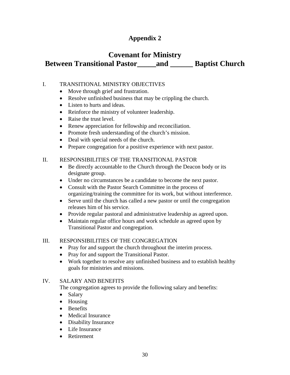#### **Appendix 2**

#### **Covenant for Ministry Between Transitional Pastor\_\_\_\_\_and \_\_\_\_\_\_ Baptist Church**

#### I. TRANSITIONAL MINISTRY OBJECTIVES

- Move through grief and frustration.
- Resolve unfinished business that may be crippling the church.
- Listen to hurts and ideas.
- Reinforce the ministry of volunteer leadership.
- Raise the trust level.
- Renew appreciation for fellowship and reconciliation.
- Promote fresh understanding of the church's mission.
- Deal with special needs of the church.
- Prepare congregation for a positive experience with next pastor.

#### II. RESPONSIBILITIES OF THE TRANSITIONAL PASTOR

- Be directly accountable to the Church through the Deacon body or its designate group.
- Under no circumstances be a candidate to become the next pastor.
- Consult with the Pastor Search Committee in the process of organizing/training the committee for its work, but without interference.
- Serve until the church has called a new pastor or until the congregation releases him of his service.
- Provide regular pastoral and administrative leadership as agreed upon.
- Maintain regular office hours and work schedule as agreed upon by Transitional Pastor and congregation.

#### III. RESPONSIBILITIES OF THE CONGREGATION

- Pray for and support the church throughout the interim process.
- Pray for and support the Transitional Pastor.
- Work together to resolve any unfinished business and to establish healthy goals for ministries and missions.

#### IV. SALARY AND BENEFITS

The congregation agrees to provide the following salary and benefits:

- Salary
- Housing
- Benefits
- Medical Insurance
- Disability Insurance
- Life Insurance
- Retirement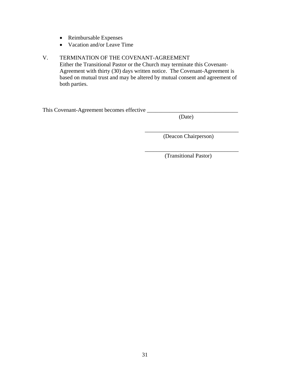- Reimbursable Expenses
- Vacation and/or Leave Time

#### V. TERMINATION OF THE COVENANT-AGREEMENT

Either the Transitional Pastor or the Church may terminate this Covenant-Agreement with thirty (30) days written notice. The Covenant-Agreement is based on mutual trust and may be altered by mutual consent and agreement of both parties.

 $\overline{\phantom{a}}$  , which is a set of the set of the set of the set of the set of the set of the set of the set of the set of the set of the set of the set of the set of the set of the set of the set of the set of the set of th

 $\overline{\phantom{a}}$  , and the contract of the contract of the contract of the contract of the contract of the contract of the contract of the contract of the contract of the contract of the contract of the contract of the contrac

This Covenant-Agreement becomes effective \_\_\_\_\_\_\_\_\_\_\_\_\_\_\_\_\_\_\_\_\_\_\_\_\_\_\_\_\_\_\_\_

(Date)

(Deacon Chairperson)

(Transitional Pastor)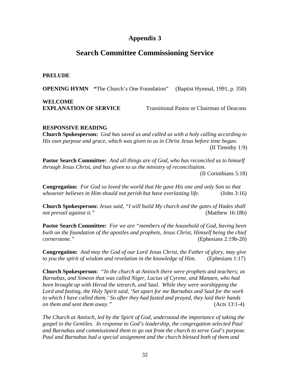#### **Appendix 3**

#### **Search Committee Commissioning Service**

#### **PRELUDE**

**OPENING HYMN "**The Church's One Foundation" (Baptist Hymnal, 1991, p. 350)

**WELCOME EXPLANATION OF SERVICE** Transitional Pastor or Chairman of Deacons

#### **RESPONSIVE READING**

**Church Spokesperson:** *God has saved us and called us with a holy calling according to His own purpose and grace, which was given to us in Christ Jesus before time began.* (II Timothy 1:9)

**Pastor Search Committee:** *And all things are of God, who has reconciled us to himself through Jesus Christ, and has given to us the ministry of reconciliation.* 

(II Corinthians 5:18)

**Congregation:** *For God so loved the world that He gave His one and only Son so that whosever believes in Him should not perish but have everlasting life.* (John 3:16)

**Church Spokesperson:** *Jesus said, "I will build My church and the gates of Hades shall not prevail against it."* (Matthew 16:18b)

**Pastor Search Committee:** *For we are "members of the household of God, having been built on the foundation of the apostles and prophets, Jesus Christ, Himself being the chief cornerstone."* (Ephesians 2:19b-20)

**Congregation:** *And may the God of our Lord Jesus Christ, the Father of glory, may give to you the spirit of wisdom and revelation in the knowledge of Him.* (Ephesians 1:17)

**Church Spokesperson:** *"In the church at Antioch there were prophets and teachers; as Barnabas, and Simeon that was called Niger, Lucius of Cyrene, and Manaen, who had been brought up with Herod the tetrarch, and Saul. While they were worshipping the Lord and fasting, the Holy Spirit said, 'Set apart for me Barnabas and Saul for the work to which I have called them.' So after they had fasted and prayed, they laid their hands on them and sent them away."* (Acts 13:1-4)

*The Church at Antioch, led by the Spirit of God, understood the importance of taking the gospel to the Gentiles. In response to God's leadership, the congregation selected Paul and Barnabas and commissioned them to go out from the church to serve God's purpose. Paul and Barnabas had a special assignment and the church blessed both of them and*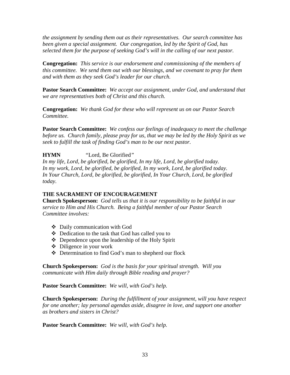*the assignment by sending them out as their representatives. Our search committee has been given a special assignment. Our congregation, led by the Spirit of God, has selected them for the purpose of seeking God's will in the calling of our next pastor.*

**Congregation:** *This service is our endorsement and commissioning of the members of this committee. We send them out with our blessings, and we covenant to pray for them and with them as they seek God's leader for our church.* 

**Pastor Search Committee:** *We accept our assignment, under God, and understand that we are representatives both of Christ and this church.* 

**Congregation:** *We thank God for these who will represent us on our Pastor Search Committee.* 

**Pastor Search Committee:** *We confess our feelings of inadequacy to meet the challenge before us. Church family, please pray for us, that we may be led by the Holy Spirit as we seek to fulfill the task of finding God's man to be our next pastor.* 

**HYMN** *"*Lord, Be Glorified*"* 

*In my life, Lord, be glorified, be glorified, In my life, Lord, be glorified today. In my work, Lord, be glorified, be glorified, In my work, Lord, be glorified today. In Your Church, Lord, be glorified, be glorified, In Your Church, Lord, be glorified today.* 

#### **THE SACRAMENT OF ENCOURAGEMENT**

**Church Spokesperson:** *God tells us that it is our responsibility to be faithful in our service to Him and His Church. Being a faithful member of our Pastor Search Committee involves:* 

- Daily communication with God
- Dedication to the task that God has called you to
- Dependence upon the leadership of the Holy Spirit
- $\triangleleft$  Diligence in your work
- Determination to find God's man to shepherd our flock

**Church Spokesperson:** *God is the basis for your spiritual strength. Will you communicate with Him daily through Bible reading and prayer?* 

**Pastor Search Committee:** *We will, with God's help.*

**Church Spokesperson:** *During the fulfillment of your assignment, will you have respect for one another; lay personal agendas aside, disagree in love, and support one another as brothers and sisters in Christ?* 

**Pastor Search Committee:** *We will, with God's help.*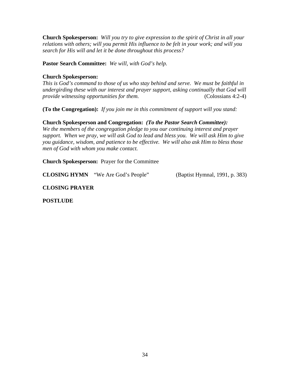**Church Spokesperson:** *Will you try to give expression to the spirit of Christ in all your relations with others; will you permit His influence to be felt in your work; and will you search for His will and let it be done throughout this process?* 

**Pastor Search Committee:** *We will, with God's help.* 

#### **Church Spokesperson:**

*This is God's command to those of us who stay behind and serve. We must be faithful in undergirding these with our interest and prayer support, asking continually that God will provide witnessing opportunities for them.* (Colossians 4:2-4)

**(To the Congregation):** *If you join me in this commitment of support will you stand:* 

#### **Church Spokesperson and Congregation:** *(To the Pastor Search Committee):*

*We the members of the congregation pledge to you our continuing interest and prayer support. When we pray, we will ask God to lead and bless you. We will ask Him to give you guidance, wisdom, and patience to be effective. We will also ask Him to bless those men of God with whom you make contact.* 

**Church Spokesperson:** Prayer for the Committee

**CLOSING HYMN**"We Are God's People"(Baptist Hymnal, 1991, p. 383)

#### **CLOSING PRAYER**

**POSTLUDE**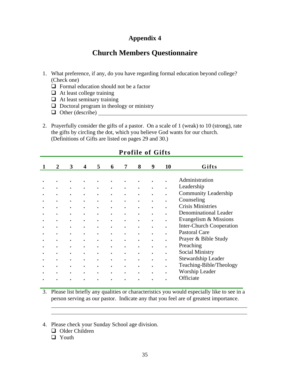#### **Appendix 4**

#### **Church Members Questionnaire**

- 1. What preference, if any, do you have regarding formal education beyond college? (Check one)
	- $\Box$  Formal education should not be a factor
	- $\Box$  At least college training
	- $\Box$  At least seminary training
	- $\Box$  Doctoral program in theology or ministry
	- $\Box$  Other (describe)
- 2. Prayerfully consider the gifts of a pastor. On a scale of 1 (weak) to 10 (strong), rate the gifts by circling the dot, which you believe God wants for our church. (Definitions of Gifts are listed on pages 29 and 30.)

| $\mathbf{2}$ | 3         | 4         | 5         | 6 | 7         | 8 | 9         | 10        | Gifts                           |
|--------------|-----------|-----------|-----------|---|-----------|---|-----------|-----------|---------------------------------|
|              |           |           |           |   |           |   |           |           |                                 |
|              |           |           |           |   |           |   |           |           | Administration                  |
|              |           |           |           |   |           |   |           |           | Leadership                      |
|              |           |           |           |   |           |   |           |           | <b>Community Leadership</b>     |
|              |           |           |           |   |           |   |           |           | Counseling                      |
| ٠            | $\bullet$ | ٠         | $\bullet$ |   |           |   |           |           | <b>Crisis Ministries</b>        |
| ٠            | $\bullet$ | $\bullet$ |           |   | $\bullet$ |   |           |           | Denominational Leader           |
| $\bullet$    | $\bullet$ | $\bullet$ | $\bullet$ |   | $\bullet$ |   | $\bullet$ | $\bullet$ | Evangelism & Missions           |
| $\bullet$    | $\bullet$ | $\bullet$ | $\bullet$ |   | $\bullet$ |   |           |           | <b>Inter-Church Cooperation</b> |
|              | ٠         |           |           |   |           |   |           |           | <b>Pastoral Care</b>            |
|              | ٠         |           | ٠         |   |           |   |           |           | Prayer & Bible Study            |
|              | ٠         |           | ٠         |   |           |   |           |           | Preaching                       |
|              |           | ٠         |           |   |           |   |           |           | Social Ministry                 |
|              |           | ٠         |           |   | ٠         |   |           |           | Stewardship Leader              |
|              |           |           | ٠         |   |           |   |           |           | Teaching-Bible/Theology         |
|              | ٠         | $\bullet$ | $\bullet$ | ٠ | ٠         |   |           | $\bullet$ | Worship Leader                  |
|              |           | ٠         | $\bullet$ | ٠ | ٠         |   |           | $\bullet$ | Officiate                       |
|              |           |           |           |   |           |   |           |           |                                 |

#### **Profile of Gifts**

- 3. Please list briefly any qualities or characteristics you would especially like to see in a person serving as our pastor. Indicate any that you feel are of greatest importance.
- 4. Please check your Sunday School age division.
	- Older Children
	- **D** Youth

 $\overline{a}$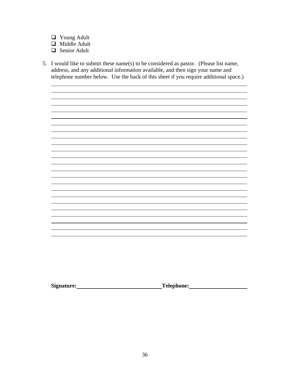- Young Adult
- Middle Adult
- Senior Adult

 $\overline{a}$ 

5. I would like to submit these name(s) to be considered as pastor. (Please list name, address, and any additional information available, and then sign your name and telephone number below. Use the back of this sheet if you require additional space.)

<u> 1999 - Johann Harry Harry Harry Harry Harry Harry Harry Harry Harry Harry Harry Harry Harry Harry Harry Harry H</u>

and the control of the control of the control of the control of the control of the control of the control of the

<u> 1980 - Johann Stoff, deutscher Stoffen und der Stoffen und der Stoffen und der Stoffen und der Stoffen und d</u>

<u> 1989 - Johann Stoff, amerikansk politiker (\* 1908)</u>

<u> 1980 - Johann Stoff, deutscher Stoffen und der Stoffen und der Stoffen und der Stoffen und der Stoffen und d</u>

<u> 1980 - Johann Stoff, deutscher Stoffen und der Stoffen und der Stoffen und der Stoffen und der Stoffen und der</u>

Signature: <u>New Signature:</u> Telephone: Telephone: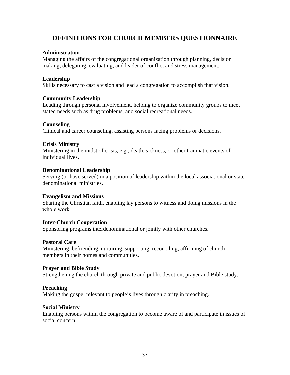### **DEFINITIONS FOR CHURCH MEMBERS QUESTIONNAIRE**

### **Administration**

Managing the affairs of the congregational organization through planning, decision making, delegating, evaluating, and leader of conflict and stress management.

### **Leadership**

Skills necessary to cast a vision and lead a congregation to accomplish that vision.

#### **Community Leadership**

Leading through personal involvement, helping to organize community groups to meet stated needs such as drug problems, and social recreational needs.

### **Counseling**

Clinical and career counseling, assisting persons facing problems or decisions.

#### **Crisis Ministry**

Ministering in the midst of crisis, e.g., death, sickness, or other traumatic events of individual lives.

#### **Denominational Leadership**

Serving (or have served) in a position of leadership within the local associational or state denominational ministries.

#### **Evangelism and Missions**

Sharing the Christian faith, enabling lay persons to witness and doing missions in the whole work.

#### **Inter-Church Cooperation**

Sponsoring programs interdenominational or jointly with other churches.

#### **Pastoral Care**

Ministering, befriending, nurturing, supporting, reconciling, affirming of church members in their homes and communities.

#### **Prayer and Bible Study**

Strengthening the church through private and public devotion, prayer and Bible study.

#### **Preaching**

Making the gospel relevant to people's lives through clarity in preaching.

#### **Social Ministry**

Enabling persons within the congregation to become aware of and participate in issues of social concern.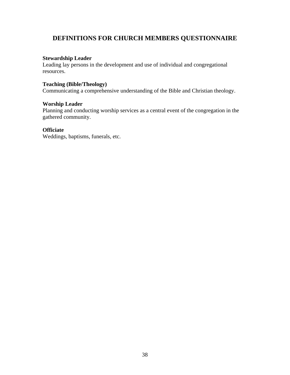### **DEFINITIONS FOR CHURCH MEMBERS QUESTIONNAIRE**

#### **Stewardship Leader**

Leading lay persons in the development and use of individual and congregational resources.

### **Teaching (Bible/Theology)**

Communicating a comprehensive understanding of the Bible and Christian theology.

#### **Worship Leader**

Planning and conducting worship services as a central event of the congregation in the gathered community.

### **Officiate**

Weddings, baptisms, funerals, etc.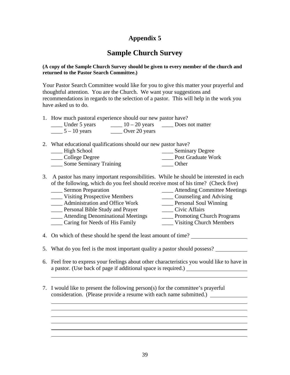# **Sample Church Survey**

#### **(A copy of the Sample Church Survey should be given to every member of the church and returned to the Pastor Search Committee.)**

Your Pastor Search Committee would like for you to give this matter your prayerful and thoughtful attention. You are the Church. We want your suggestions and recommendations in regards to the selection of a pastor. This will help in the work you have asked us to do.

1. How much pastoral experience should our new pastor have?

| Under 5 years  | $10 - 20$ years | Does not matter |
|----------------|-----------------|-----------------|
| $5 - 10$ years | Over 20 years   |                 |

### 2. What educational qualifications should our new pastor have?

| High School                   | <b>Seminary Degree</b> |
|-------------------------------|------------------------|
| College Degree                | Post Graduate Work     |
| <b>Some Seminary Training</b> | Other                  |

3. A pastor has many important responsibilities. While he should be interested in each of the following, which do you feel should receive most of his time? (Check five)

| <b>Sermon Preparation</b>                | <b>Attending Committee Meetings</b> |
|------------------------------------------|-------------------------------------|
| <b>Visiting Prospective Members</b>      | Counseling and Advising             |
| Administration and Office Work           | Personal Soul Winning               |
| Personal Bible Study and Prayer          | Civic Affairs                       |
| <b>Attending Denominational Meetings</b> | <b>Promoting Church Programs</b>    |
| Caring for Needs of His Family           | <b>Visiting Church Members</b>      |

4. On which of these should he spend the least amount of time?

 $\overline{a}$ 

 $\overline{a}$  $\overline{a}$ 

- 5. What do you feel is the most important quality a pastor should possess?
- 6. Feel free to express your feelings about other characteristics you would like to have in a pastor. (Use back of page if additional space is required.)
- 7. I would like to present the following person(s) for the committee's prayerful consideration. (Please provide a resume with each name submitted.)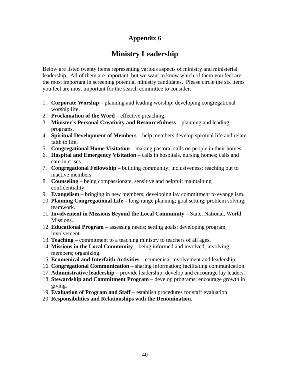# **Ministry Leadership**

Below are listed twenty items representing various aspects of ministry and ministerial leadership. All of them are important, but we want to know which of them you feel are the most important in screening potential ministry candidates. Please circle the six items you feel are most important for the search committee to consider.

- 1. **Corporate Worship** planning and leading worship; developing congregational worship life.
- 2. **Proclamation of the Word** effective preaching.
- 3. **Minister's Personal Creativity and Resourcefulness** planning and leading programs.
- 4. **Spiritual Development of Members** help members develop spiritual life and relate faith to life.
- 5. **Congregational Home Visitation** making pastoral calls on people in their homes.
- 6. **Hospital and Emergency Visitation** calls in hospitals, nursing homes; calls and care in crises.
- 7. **Congregational Fellowship** building community; inclusiveness; reaching out to inactive members.
- 8. **Counseling** being compassionate, sensitive and helpful; maintaining confidentiality.
- 9. **Evangelism** bringing in new members; developing lay commitment to evangelism.
- 10. **Planning Congregational Life** long-range planning; goal setting; problem solving; teamwork.
- 11. **Involvement in Missions Beyond the Local Community** State, National, World Missions.
- 12. **Educational Program** assessing needs; setting goals; developing program, involvement.
- 13. **Teaching** commitment to a teaching ministry to teachers of all ages.
- 14. **Missions in the Local Community** being informed and involved; involving members; organizing.
- 15. **Ecumenical and Interfaith Activities** ecumenical involvement and leadership.
- 16. **Congregational Communication** sharing information; facilitating communication.
- 17. **Administrative leadership** provide leadership; develop and encourage lay leaders.
- 18. **Stewardship and Commitment Program** develop programs; encourage growth in giving.
- 19. **Evaluation of Program and Staff** establish procedures for staff evaluation.
- 20. **Responsibilities and Relationships with the Denomination**.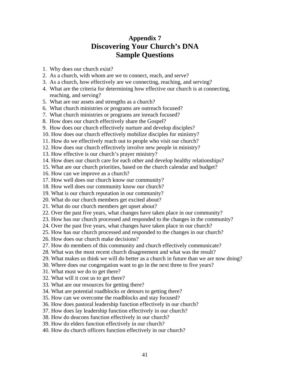## **Appendix 7 Discovering Your Church's DNA Sample Questions**

- 1. Why does our church exist?
- 2. As a church, with whom are we to connect, reach, and serve?
- 3. As a church, how effectively are we connecting, reaching, and serving?
- 4. What are the criteria for determining how effective our church is at connecting, reaching, and serving?
- 5. What are our assets and strengths as a church?
- 6. What church ministries or programs are outreach focused?
- 7. What church ministries or programs are inreach focused?
- 8. How does our church effectively share the Gospel?
- 9. How does our church effectively nurture and develop disciples?
- 10. How does our church effectively mobilize disciples for ministry?
- 11. How do we effectively reach out to people who visit our church?
- 12. How does our church effectively involve new people in ministry?
- 13. How effective is our church's prayer ministry?
- 14. How does our church care for each other and develop healthy relationships?
- 15. What are our church priorities, based on the church calendar and budget?
- 16. How can we improve as a church?
- 17. How well does our church know our community?
- 18. How well does our community know our church?
- 19. What is our church reputation in our community?
- 20. What do our church members get excited about?
- 21. What do our church members get upset about?
- 22. Over the past five years, what changes have taken place in our community?
- 23. How has our church processed and responded to the changes in the community?
- 24. Over the past five years, what changes have taken place in our church?
- 25. How has our church processed and responded to the changes in our church?
- 26. How does our church make decisions?
- 27. How do members of this community and church effectively communicate?
- 28. What was the most recent church disagreement and what was the result?
- 29. What makes us think we will do better as a church in future than we are now doing?
- 30. Where does our congregation want to go in the next three to five years?
- 31. What must we do to get there?
- 32. What will it cost us to get there?
- 33. What are our resources for getting there?
- 34. What are potential roadblocks or detours to getting there?
- 35. How can we overcome the roadblocks and stay focused?
- 36. How does pastoral leadership function effectively in our church?
- 37. How does lay leadership function effectively in our church?
- 38. How do deacons function effectively in our church?
- 39. How do elders function effectively in our church?
- 40. How do church officers function effectively in our church?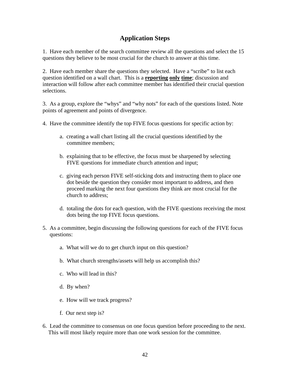### **Application Steps**

1. Have each member of the search committee review all the questions and select the 15 questions they believe to be most crucial for the church to answer at this time.

2. Have each member share the questions they selected. Have a "scribe" to list each question identified on a wall chart. This is a **reporting only time**; discussion and interaction will follow after each committee member has identified their crucial question selections.

3. As a group, explore the "whys" and "why nots" for each of the questions listed. Note points of agreement and points of divergence.

- 4. Have the committee identify the top FIVE focus questions for specific action by:
	- a. creating a wall chart listing all the crucial questions identified by the committee members;
	- b. explaining that to be effective, the focus must be sharpened by selecting FIVE questions for immediate church attention and input;
	- c. giving each person FIVE self-sticking dots and instructing them to place one dot beside the question they consider most important to address, and then proceed marking the next four questions they think are most crucial for the church to address;
	- d. totaling the dots for each question, with the FIVE questions receiving the most dots being the top FIVE focus questions.
- 5. As a committee, begin discussing the following questions for each of the FIVE focus questions:
	- a. What will we do to get church input on this question?
	- b. What church strengths/assets will help us accomplish this?
	- c. Who will lead in this?
	- d. By when?
	- e. How will we track progress?
	- f. Our next step is?
- 6. Lead the committee to consensus on one focus question before proceeding to the next. This will most likely require more than one work session for the committee.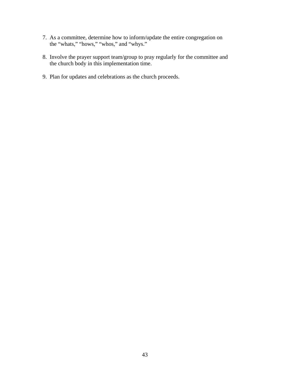- 7. As a committee, determine how to inform/update the entire congregation on the "whats," "hows," "whos," and "whys."
- 8. Involve the prayer support team/group to pray regularly for the committee and the church body in this implementation time.
- 9. Plan for updates and celebrations as the church proceeds.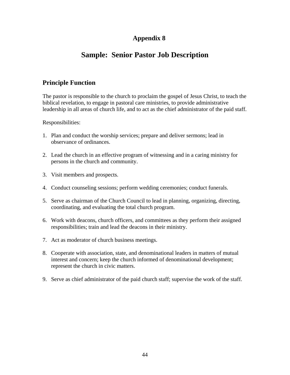# **Sample: Senior Pastor Job Description**

### **Principle Function**

The pastor is responsible to the church to proclaim the gospel of Jesus Christ, to teach the biblical revelation, to engage in pastoral care ministries, to provide administrative leadership in all areas of church life, and to act as the chief administrator of the paid staff.

Responsibilities:

- 1. Plan and conduct the worship services; prepare and deliver sermons; lead in observance of ordinances.
- 2. Lead the church in an effective program of witnessing and in a caring ministry for persons in the church and community.
- 3. Visit members and prospects.
- 4. Conduct counseling sessions; perform wedding ceremonies; conduct funerals.
- 5. Serve as chairman of the Church Council to lead in planning, organizing, directing, coordinating, and evaluating the total church program.
- 6. Work with deacons, church officers, and committees as they perform their assigned responsibilities; train and lead the deacons in their ministry.
- 7. Act as moderator of church business meetings.
- 8. Cooperate with association, state, and denominational leaders in matters of mutual interest and concern; keep the church informed of denominational development; represent the church in civic matters.
- 9. Serve as chief administrator of the paid church staff; supervise the work of the staff.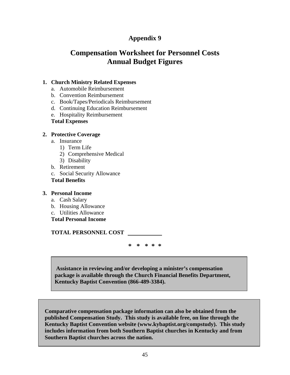# **Compensation Worksheet for Personnel Costs Annual Budget Figures**

### **1. Church Ministry Related Expenses**

- a. Automobile Reimbursement
- b. Convention Reimbursement
- c. Book/Tapes/Periodicals Reimbursement
- d. Continuing Education Reimbursement
- e. Hospitality Reimbursement
- **Total Expenses**

### **2. Protective Coverage**

- a. Insurance
	- 1) Term Life
	- 2) Comprehensive Medical
	- 3) Disability
- b. Retirement
- c. Social Security Allowance

### **Total Benefits**

#### **3. Personal Income**

- a. Cash Salary
- b. Housing Allowance
- c. Utilities Allowance
- **Total Personal Income**

**TOTAL PERSONNEL COST** 

**\* \* \* \* \*** 

 **Assistance in reviewing and/or developing a minister's compensation package is available through the Church Financial Benefits Department, Kentucky Baptist Convention (866-489-3384).**

 **Comparative compensation package information can also be obtained from the published Compensation Study. This study is available free, on line through the Kentucky Baptist Convention website (www.kybaptist.org/compstudy). This study includes information from both Southern Baptist churches in Kentucky and from Southern Baptist churches across the nation.**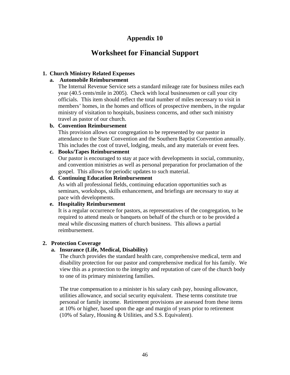# **Worksheet for Financial Support**

### **1. Church Ministry Related Expenses**

### **a. Automobile Reimbursement**

The Internal Revenue Service sets a standard mileage rate for business miles each year (40.5 cents/mile in 2005). Check with local businessmen or call your city officials. This item should reflect the total number of miles necessary to visit in members' homes, in the homes and offices of prospective members, in the regular ministry of visitation to hospitals, business concerns, and other such ministry travel as pastor of our church.

### **b. Convention Reimbursement**

This provision allows our congregation to be represented by our pastor in attendance to the State Convention and the Southern Baptist Convention annually. This includes the cost of travel, lodging, meals, and any materials or event fees.

### **c. Books/Tapes Reimbursement**

Our pastor is encouraged to stay at pace with developments in social, community, and convention ministries as well as personal preparation for proclamation of the gospel. This allows for periodic updates to such material.

### **d. Continuing Education Reimbursement**

As with all professional fields, continuing education opportunities such as seminars, workshops, skills enhancement, and briefings are necessary to stay at pace with developments.

### **e. Hospitality Reimbursement**

It is a regular occurrence for pastors, as representatives of the congregation, to be required to attend meals or banquets on behalf of the church or to be provided a meal while discussing matters of church business. This allows a partial reimbursement.

### **2. Protection Coverage**

### **a. Insurance (Life, Medical, Disability)**

The church provides the standard health care, comprehensive medical, term and disability protection for our pastor and comprehensive medical for his family. We view this as a protection to the integrity and reputation of care of the church body to one of its primary ministering families.

The true compensation to a minister is his salary cash pay, housing allowance, utilities allowance, and social security equivalent. These terms constitute true personal or family income. Retirement provisions are assessed from these items at 10% or higher, based upon the age and margin of years prior to retirement (10% of Salary, Housing & Utilities, and S.S. Equivalent).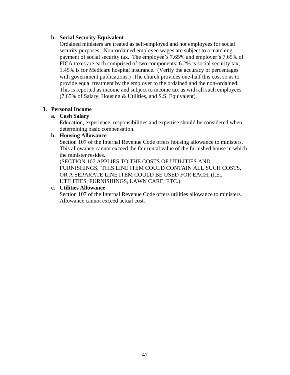#### **b. Social Security Equivalent**

Ordained ministers are treated as self-employed and not employees for social security purposes. Non-ordained employee wages are subject to a matching payment of social security tax. The employee's 7.65% and employer's 7.65% of FICA taxes are each comprised of two components: 6.2% is social security tax; 1.45% is for Medicare hospital insurance. (Verify the accuracy of percentages with government publications.) The church provides one-half this cost so as to provide equal treatment by the employer to the ordained and the non-ordained. This is reported as income and subject to income tax as with all such employees (7.65% of Salary, Housing & Utilities, and S.S. Equivalent).

### **3. Personal Income**

### **a. Cash Salary**

Education, experience, responsibilities and expertise should be considered when determining basic compensation.

### **b. Housing Allowance**

Section 107 of the Internal Revenue Code offers housing allowance to ministers. This allowance cannot exceed the fair rental value of the furnished house in which the minister resides.

(SECTION 107 APPLIES TO THE COSTS OF UTILITIES AND FURNISHINGS. THIS LINE ITEM COULD CONTAIN ALL SUCH COSTS, OR A SEPARATE LINE ITEM COULD BE USED FOR EACH, (I.E., UTILITIES, FURNISHINGS, LAWN CARE, ETC.)

### **c. Utilities Allowance**

Section 107 of the Internal Revenue Code offers utilities allowance to ministers. Allowance cannot exceed actual cost.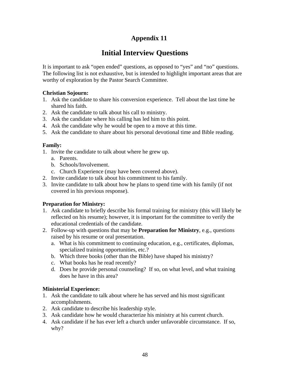# **Initial Interview Questions**

It is important to ask "open ended" questions, as opposed to "yes" and "no" questions. The following list is not exhaustive, but is intended to highlight important areas that are worthy of exploration by the Pastor Search Committee.

### **Christian Sojourn:**

- 1. Ask the candidate to share his conversion experience. Tell about the last time he shared his faith.
- 2. Ask the candidate to talk about his call to ministry.
- 3. Ask the candidate where his calling has led him to this point.
- 4. Ask the candidate why he would be open to a move at this time.
- 5. Ask the candidate to share about his personal devotional time and Bible reading.

### **Family:**

- 1. Invite the candidate to talk about where he grew up.
	- a. Parents.
	- b. Schools/Involvement.
	- c. Church Experience (may have been covered above).
- 2. Invite candidate to talk about his commitment to his family.
- 3. Invite candidate to talk about how he plans to spend time with his family (if not covered in his previous response).

### **Preparation for Ministry:**

- 1. Ask candidate to briefly describe his formal training for ministry (this will likely be reflected on his resume); however, it is important for the committee to verify the educational credentials of the candidate.
- 2. Follow-up with questions that may be **Preparation for Ministry**, e.g., questions raised by his resume or oral presentation.
	- a. What is his commitment to continuing education, e.g., certificates, diplomas, specialized training opportunities, etc.?
	- b. Which three books (other than the Bible) have shaped his ministry?
	- c. What books has he read recently?
	- d. Does he provide personal counseling? If so, on what level, and what training does he have in this area?

### **Ministerial Experience:**

- 1. Ask the candidate to talk about where he has served and his most significant accomplishments.
- 2. Ask candidate to describe his leadership style.
- 3. Ask candidate how he would characterize his ministry at his current church.
- 4. Ask candidate if he has ever left a church under unfavorable circumstance. If so, why?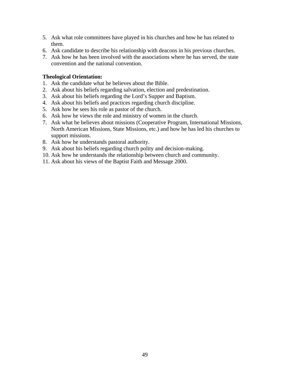- 5. Ask what role committees have played in his churches and how he has related to them.
- 6. Ask candidate to describe his relationship with deacons in his previous churches.
- 7. Ask how he has been involved with the associations where he has served, the state convention and the national convention.

#### **Theological Orientation:**

- 1. Ask the candidate what he believes about the Bible.
- 2. Ask about his beliefs regarding salvation, election and predestination.
- 3. Ask about his beliefs regarding the Lord's Supper and Baptism.
- 4. Ask about his beliefs and practices regarding church discipline.
- 5. Ask how he sees his role as pastor of the church.
- 6. Ask how he views the role and ministry of women in the church.
- 7. Ask what he believes about missions (Cooperative Program, International Missions, North American Missions, State Missions, etc.) and how he has led his churches to support missions.
- 8. Ask how he understands pastoral authority.
- 9. Ask about his beliefs regarding church polity and decision-making.
- 10. Ask how he understands the relationship between church and community.
- 11. Ask about his views of the Baptist Faith and Message 2000.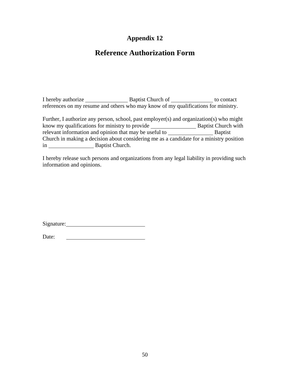# **Reference Authorization Form**

I hereby authorize Baptist Church of to contact references on my resume and others who may know of my qualifications for ministry.

| Further, I authorize any person, school, past employer(s) and organization(s) who might |                            |
|-----------------------------------------------------------------------------------------|----------------------------|
| know my qualifications for ministry to provide                                          | <b>Baptist Church with</b> |
| relevant information and opinion that may be useful to                                  | <b>B</b> aptist            |
| Church in making a decision about considering me as a candidate for a ministry position |                            |
| Baptist Church.<br>1n                                                                   |                            |

I hereby release such persons and organizations from any legal liability in providing such information and opinions.

Signature:

Date: <u> 1990 - Johann Barbara, martin a</u>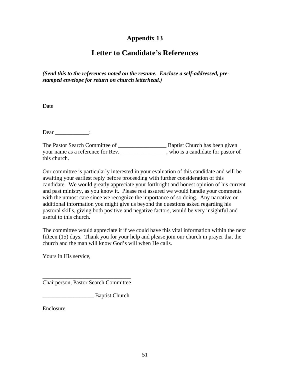# **Letter to Candidate's References**

*(Send this to the references noted on the resume. Enclose a self-addressed, prestamped envelope for return on church letterhead.)* 

Date

Dear \_\_\_\_\_\_\_\_\_\_\_\_\_:

| The Pastor Search Committee of    | Baptist Church has been given      |
|-----------------------------------|------------------------------------|
| your name as a reference for Rev. | , who is a candidate for pastor of |
| this church.                      |                                    |

Our committee is particularly interested in your evaluation of this candidate and will be awaiting your earliest reply before proceeding with further consideration of this candidate. We would greatly appreciate your forthright and honest opinion of his current and past ministry, as you know it. Please rest assured we would handle your comments with the utmost care since we recognize the importance of so doing. Any narrative or additional information you might give us beyond the questions asked regarding his pastoral skills, giving both positive and negative factors, would be very insightful and useful to this church.

The committee would appreciate it if we could have this vital information within the next fifteen (15) days. Thank you for your help and please join our church in prayer that the church and the man will know God's will when He calls.

Yours in His service,

\_\_\_\_\_\_\_\_\_\_\_\_\_\_\_\_\_\_\_\_\_\_\_\_\_\_\_\_\_\_\_ Chairperson, Pastor Search Committee

\_\_\_\_\_\_\_\_\_\_\_\_\_\_\_\_\_\_ Baptist Church

**Enclosure**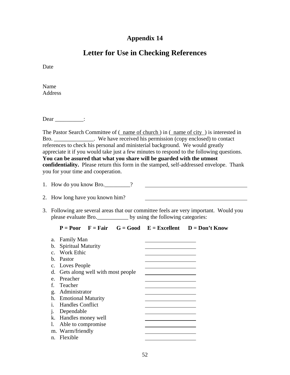# **Letter for Use in Checking References**

Date

Name **Address** 

 $Dear$  \_\_\_\_\_\_\_\_\_\_\_:

The Pastor Search Committee of (name of church) in (name of city) is interested in Bro. We have received his permission (copy enclosed) to contact references to check his personal and ministerial background. We would greatly appreciate it if you would take just a few minutes to respond to the following questions. **You can be assured that what you share will be guarded with the utmost confidentiality.** Please return this form in the stamped, self-addressed envelope. Thank you for your time and cooperation.

- 1. How do you know Bro. \_\_\_\_\_\_\_?
- 2. How long have you known him?
- 3. Following are several areas that our committee feels are very important. Would you please evaluate Bro.\_\_\_\_\_\_\_\_\_\_\_ by using the following categories:

|                 |                           |                                  |  |  | $P = Poor$ $F = Fair$ $G = Good$ $E = Excellent$ $D = Don't Know$ |
|-----------------|---------------------------|----------------------------------|--|--|-------------------------------------------------------------------|
| a.              | <b>Family Man</b>         |                                  |  |  |                                                                   |
| $\mathbf{b}$ .  | <b>Spiritual Maturity</b> |                                  |  |  |                                                                   |
| $\mathcal{C}$ . | <b>Work Ethic</b>         |                                  |  |  |                                                                   |
| h.              | Pastor                    |                                  |  |  |                                                                   |
|                 | c. Loves People           |                                  |  |  |                                                                   |
| d.              |                           | Gets along well with most people |  |  |                                                                   |
| $e_{\cdot}$     | Preacher                  |                                  |  |  |                                                                   |
| f.              | Teacher                   |                                  |  |  |                                                                   |
| g.              | Administrator             |                                  |  |  |                                                                   |
|                 | h. Emotional Maturity     |                                  |  |  |                                                                   |
| 1 <sup>1</sup>  | <b>Handles Conflict</b>   |                                  |  |  |                                                                   |
| 1.              | Dependable                |                                  |  |  |                                                                   |
| k.              | Handles money well        |                                  |  |  |                                                                   |
| 1.              | Able to compromise        |                                  |  |  |                                                                   |
|                 | m. Warm/friendly          |                                  |  |  |                                                                   |
| n.              | Flexible                  |                                  |  |  |                                                                   |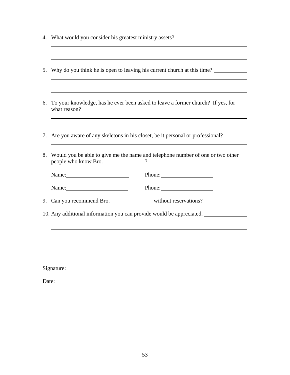|    | 4. What would you consider his greatest ministry assets?                                                                                                                                                                       |                                                                                 |
|----|--------------------------------------------------------------------------------------------------------------------------------------------------------------------------------------------------------------------------------|---------------------------------------------------------------------------------|
|    |                                                                                                                                                                                                                                |                                                                                 |
| 5. |                                                                                                                                                                                                                                | Why do you think he is open to leaving his current church at this time?         |
|    |                                                                                                                                                                                                                                |                                                                                 |
| 6. |                                                                                                                                                                                                                                | To your knowledge, has he ever been asked to leave a former church? If yes, for |
|    |                                                                                                                                                                                                                                |                                                                                 |
| 7. |                                                                                                                                                                                                                                | Are you aware of any skeletons in his closet, be it personal or professional?   |
| 8. | people who know Bro.                                                                                                                                                                                                           | Would you be able to give me the name and telephone number of one or two other  |
|    | Name: Name                                                                                                                                                                                                                     | Phone:                                                                          |
|    | Name: Name and Solid Report of the Mass of the Mass of the Mass of the Mass of the Mass of the Mass of the Mass of the Mass of the Mass of the Mass of the Mass of the Mass of the Mass of the Mass of the Mass of the Mass of | Phone: 2000                                                                     |
|    | 9. Can you recommend Bro. ____________________ without reservations?                                                                                                                                                           |                                                                                 |
|    |                                                                                                                                                                                                                                | 10. Any additional information you can provide would be appreciated.            |
|    |                                                                                                                                                                                                                                |                                                                                 |
|    |                                                                                                                                                                                                                                |                                                                                 |
|    |                                                                                                                                                                                                                                |                                                                                 |
|    |                                                                                                                                                                                                                                |                                                                                 |
|    |                                                                                                                                                                                                                                |                                                                                 |

| Date: |  |  |
|-------|--|--|
|       |  |  |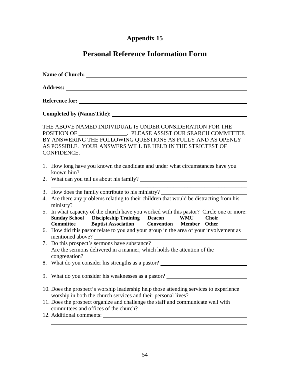# **Personal Reference Information Form**

| Name of Church: Name of Church:                                                                                                                                                                                                                                               |  |
|-------------------------------------------------------------------------------------------------------------------------------------------------------------------------------------------------------------------------------------------------------------------------------|--|
|                                                                                                                                                                                                                                                                               |  |
|                                                                                                                                                                                                                                                                               |  |
|                                                                                                                                                                                                                                                                               |  |
| THE ABOVE NAMED INDIVIDUAL IS UNDER CONSIDERATION FOR THE<br>POSITION OF ____________________. PLEASE ASSIST OUR SEARCH COMMITTEE<br>BY ANSWERING THE FOLLOWING QUESTIONS AS FULLY AND AS OPENLY<br>AS POSSIBLE. YOUR ANSWERS WILL BE HELD IN THE STRICTEST OF<br>CONFIDENCE. |  |
| 1. How long have you known the candidate and under what circumstances have you                                                                                                                                                                                                |  |
| 2. What can you tell us about his family?                                                                                                                                                                                                                                     |  |
| 3. How does the family contribute to his ministry? ______________________________<br>4. Are there any problems relating to their children that would be distracting from his<br>ministry?                                                                                     |  |
| 5. In what capacity of the church have you worked with this pastor? Circle one or more:<br>Sunday School Discipleship Training Deacon WMU Choir<br>Committee Baptist Association Convention Member Other                                                                      |  |
| 6. How did this pastor relate to you and your group in the area of your involvement as                                                                                                                                                                                        |  |
| 7. Do this prospect's sermons have substance? __________________________________<br>Are the sermons delivered in a manner, which holds the attention of the<br>congregation?                                                                                                  |  |
| 8. What do you consider his strengths as a pastor?                                                                                                                                                                                                                            |  |
| <u> 1980 - Johann Barbara, martxa alemaniar amerikan a</u><br>9. What do you consider his weaknesses as a pastor? ____________________________                                                                                                                                |  |
| 10. Does the prospect's worship leadership help those attending services to experience<br>worship in both the church services and their personal lives?                                                                                                                       |  |
| 11. Does the prospect organize and challenge the staff and communicate well with<br>committees and offices of the church?                                                                                                                                                     |  |
|                                                                                                                                                                                                                                                                               |  |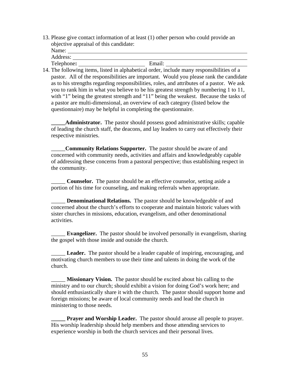13. Please give contact information of at least (1) other person who could provide an objective appraisal of this candidate:

| Name:      |        |  |
|------------|--------|--|
| Address:   |        |  |
| Telephone: | Email: |  |

14. The following items, listed in alphabetical order, include many responsibilities of a pastor. All of the responsibilities are important. Would you please rank the candidate as to his strengths regarding responsibilities, roles, and attributes of a pastor. We ask you to rank him in what you believe to be his greatest strength by numbering 1 to 11, with "1" being the greatest strength and "11" being the weakest. Because the tasks of a pastor are multi-dimensional, an overview of each category (listed below the questionnaire) may be helpful in completing the questionnaire.

Administrator. The pastor should possess good administrative skills; capable of leading the church staff, the deacons, and lay leaders to carry out effectively their respective ministries.

\_\_\_\_\_**Community Relations Supporter.** The pastor should be aware of and concerned with community needs, activities and affairs and knowledgeably capable of addressing these concerns from a pastoral perspective; thus establishing respect in the community.

**Counselor.** The pastor should be an effective counselor, setting aside a portion of his time for counseling, and making referrals when appropriate.

Denominational Relations. The pastor should be knowledgeable of and concerned about the church's efforts to cooperate and maintain historic values with sister churches in missions, education, evangelism, and other denominational activities.

\_\_\_\_\_ **Evangelizer.** The pastor should be involved personally in evangelism, sharing the gospel with those inside and outside the church.

Leader. The pastor should be a leader capable of inspiring, encouraging, and motivating church members to use their time and talents in doing the work of the church.

**Missionary Vision.** The pastor should be excited about his calling to the ministry and to our church; should exhibit a vision for doing God's work here; and should enthusiastically share it with the church. The pastor should support home and foreign missions; be aware of local community needs and lead the church in ministering to those needs.

**Prayer and Worship Leader.** The pastor should arouse all people to prayer. His worship leadership should help members and those attending services to experience worship in both the church services and their personal lives.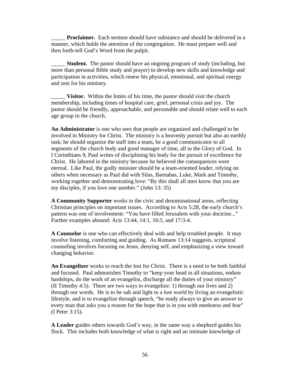**Proclaimer.** Each sermon should have substance and should be delivered in a manner, which holds the attention of the congregation. He must prepare well and then forth-tell God's Word from the pulpit.

**Student.** The pastor should have an ongoing program of study (including, but more than personal Bible study and prayer) to develop new skills and knowledge and participation in activities, which renew his physical, emotional, and spiritual energy and zest for his ministry.

\_\_\_\_\_ **Visitor.** Within the limits of his time, the pastor should visit the church membership, including times of hospital care, grief, personal crisis and joy. The pastor should be friendly, approachable, and personable and should relate well to each age group in the church.

**An Administrator** is one who sees that people are organized and challenged to be involved in Ministry for Christ. The ministry is a heavenly pursuit but also an earthly task; he should organize the staff into a team, be a good communicator to all segments of the church body and good manager of time, all to the Glory of God. In I Corinthians 9, Paul writes of disciplining his body for the pursuit of excellence for Christ. He labored in the ministry because he believed the consequences were eternal. Like Paul, the godly minister should be a team-oriented leader, relying on others when necessary as Paul did with Silas, Barnabas, Luke, Mark and Timothy, working together and demonstrating love: "By this shall all men know that you are my disciples, if you love one another." (John 13: 35)

**A Community Supporter** works in the civic and denominational areas, reflecting Christian principles on important issues. According to Acts 5:28, the early church's pattern was one of involvement: "You have filled Jerusalem with your doctrine..." Further examples abound: Acts 13:44, 14:1, 16:5, and 17:3-4.

**A Counselor** is one who can effectively deal with and help troubled people. It may involve listening, comforting and guiding. As Romans 13:14 suggests, scriptural counseling involves focusing on Jesus, denying self, and emphasizing a view toward changing behavior.

**An Evangelizer** works to reach the lost for Christ. There is a need to be both faithful and focused. Paul admonishes Timothy to "keep your head in all situations, endure hardships, do the work of an evangelist, discharge all the duties of your ministry" (II Timothy 4:5). There are two ways to evangelize: 1) through our lives and 2) through our words. He is to be salt and light to a lost world by living an evangelistic lifestyle, and is to evangelize through speech, "be ready always to give an answer to every man that asks you a reason for the hope that is in you with meekness and fear" (I Peter 3:15).

**A Leader** guides others towards God's way, in the same way a shepherd guides his flock. This includes both knowledge of what is right and an intimate knowledge of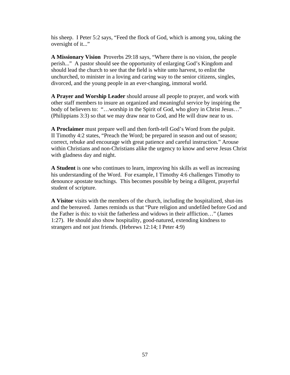his sheep. I Peter 5:2 says, "Feed the flock of God, which is among you, taking the oversight of it..."

**A Missionary Vision** Proverbs 29:18 says, "Where there is no vision, the people perish..." A pastor should see the opportunity of enlarging God's Kingdom and should lead the church to see that the field is white unto harvest, to enlist the unchurched, to minister in a loving and caring way to the senior citizens, singles, divorced, and the young people in an ever-changing, immoral world.

**A Prayer and Worship Leader** should arouse all people to prayer, and work with other staff members to insure an organized and meaningful service by inspiring the body of believers to: "...worship in the Spirit of God, who glory in Christ Jesus..." (Philippians 3:3) so that we may draw near to God, and He will draw near to us.

**A Proclaimer** must prepare well and then forth-tell God's Word from the pulpit. II Timothy 4:2 states, "Preach the Word; be prepared in season and out of season; correct, rebuke and encourage with great patience and careful instruction." Arouse within Christians and non-Christians alike the urgency to know and serve Jesus Christ with gladness day and night.

**A Student** is one who continues to learn, improving his skills as well as increasing his understanding of the Word. For example, I Timothy 4:6 challenges Timothy to denounce apostate teachings. This becomes possible by being a diligent, prayerful student of scripture.

**A Visitor** visits with the members of the church, including the hospitalized, shut-ins and the bereaved. James reminds us that "Pure religion and undefiled before God and the Father is this: to visit the fatherless and widows in their affliction…" (James 1:27). He should also show hospitality, good-natured, extending kindness to strangers and not just friends. (Hebrews 12:14; I Peter 4:9)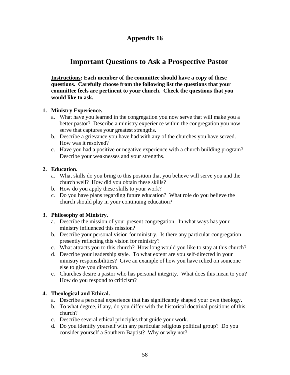# **Important Questions to Ask a Prospective Pastor**

**Instructions: Each member of the committee should have a copy of these questions. Carefully choose from the following list the questions that your committee feels are pertinent to your church. Check the questions that you would like to ask.** 

### **1. Ministry Experience.**

- a. What have you learned in the congregation you now serve that will make you a better pastor? Describe a ministry experience within the congregation you now serve that captures your greatest strengths.
- b. Describe a grievance you have had with any of the churches you have served. How was it resolved?
- c. Have you had a positive or negative experience with a church building program? Describe your weaknesses and your strengths.

### **2. Education.**

- a. What skills do you bring to this position that you believe will serve you and the church well? How did you obtain these skills?
- b. How do you apply these skills to your work?
- c. Do you have plans regarding future education? What role do you believe the church should play in your continuing education?

### **3. Philosophy of Ministry.**

- a. Describe the mission of your present congregation. In what ways has your ministry influenced this mission?
- b. Describe your personal vision for ministry. Is there any particular congregation presently reflecting this vision for ministry?
- c. What attracts you to this church? How long would you like to stay at this church?
- d. Describe your leadership style. To what extent are you self-directed in your ministry responsibilities? Give an example of how you have relied on someone else to give you direction.
- e. Churches desire a pastor who has personal integrity. What does this mean to you? How do you respond to criticism?

### **4. Theological and Ethical.**

- a. Describe a personal experience that has significantly shaped your own theology.
- b. To what degree, if any, do you differ with the historical doctrinal positions of this church?
- c. Describe several ethical principles that guide your work.
- d. Do you identify yourself with any particular religious political group? Do you consider yourself a Southern Baptist? Why or why not?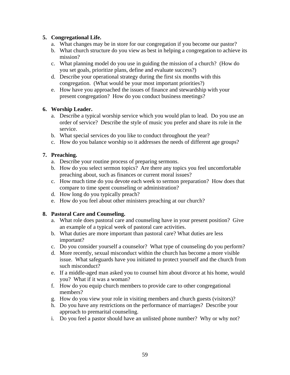### **5. Congregational Life.**

- a. What changes may be in store for our congregation if you become our pastor?
- b. What church structure do you view as best in helping a congregation to achieve its mission?
- c. What planning model do you use in guiding the mission of a church? (How do you set goals, prioritize plans, define and evaluate success?)
- d. Describe your operational strategy during the first six months with this congregation. (What would be your most important priorities?)
- e. How have you approached the issues of finance and stewardship with your present congregation? How do you conduct business meetings?

### **6. Worship Leader.**

- a. Describe a typical worship service which you would plan to lead. Do you use an order of service? Describe the style of music you prefer and share its role in the service.
- b. What special services do you like to conduct throughout the year?
- c. How do you balance worship so it addresses the needs of different age groups?

### **7. Preaching.**

- a. Describe your routine process of preparing sermons.
- b. How do you select sermon topics? Are there any topics you feel uncomfortable preaching about, such as finances or current moral issues?
- c. How much time do you devote each week to sermon preparation? How does that compare to time spent counseling or administration?
- d. How long do you typically preach?
- e. How do you feel about other ministers preaching at our church?

### **8. Pastoral Care and Counseling.**

- a. What role does pastoral care and counseling have in your present position? Give an example of a typical week of pastoral care activities.
- b. What duties are more important than pastoral care? What duties are less important?
- c. Do you consider yourself a counselor? What type of counseling do you perform?
- d. More recently, sexual misconduct within the church has become a more visible issue. What safeguards have you initiated to protect yourself and the church from such misconduct?
- e. If a middle-aged man asked you to counsel him about divorce at his home, would you? What if it was a woman?
- f. How do you equip church members to provide care to other congregational members?
- g. How do you view your role in visiting members and church guests (visitors)?
- h. Do you have any restrictions on the performance of marriages? Describe your approach to premarital counseling.
- i. Do you feel a pastor should have an unlisted phone number? Why or why not?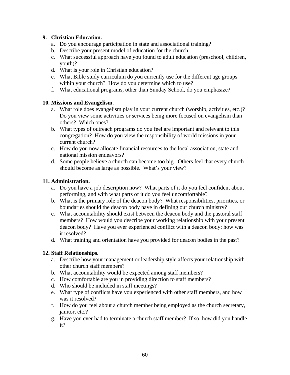### **9. Christian Education.**

- a. Do you encourage participation in state and associational training?
- b. Describe your present model of education for the church.
- c. What successful approach have you found to adult education (preschool, children, youth)?
- d. What is your role in Christian education?
- e. What Bible study curriculum do you currently use for the different age groups within your church? How do you determine which to use?
- f. What educational programs, other than Sunday School, do you emphasize?

### **10. Missions and Evangelism.**

- a. What role does evangelism play in your current church (worship, activities, etc.)? Do you view some activities or services being more focused on evangelism than others? Which ones?
- b. What types of outreach programs do you feel are important and relevant to this congregation? How do you view the responsibility of world missions in your current church?
- c. How do you now allocate financial resources to the local association, state and national mission endeavors?
- d. Some people believe a church can become too big. Others feel that every church should become as large as possible. What's your view?

### **11. Administration.**

- a. Do you have a job description now? What parts of it do you feel confident about performing, and with what parts of it do you feel uncomfortable?
- b. What is the primary role of the deacon body? What responsibilities, priorities, or boundaries should the deacon body have in defining our church ministry?
- c. What accountability should exist between the deacon body and the pastoral staff members? How would you describe your working relationship with your present deacon body? Have you ever experienced conflict with a deacon body; how was it resolved?
- d. What training and orientation have you provided for deacon bodies in the past?

### **12. Staff Relationships.**

- a. Describe how your management or leadership style affects your relationship with other church staff members?
- b. What accountability would be expected among staff members?
- c. How comfortable are you in providing direction to staff members?
- d. Who should be included in staff meetings?
- e. What type of conflicts have you experienced with other staff members, and how was it resolved?
- f. How do you feel about a church member being employed as the church secretary, janitor, etc.?
- g. Have you ever had to terminate a church staff member? If so, how did you handle it?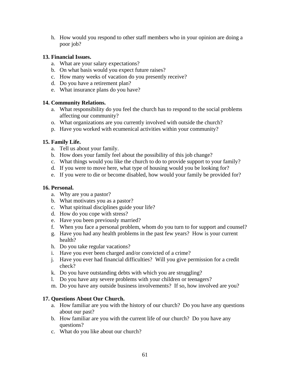h. How would you respond to other staff members who in your opinion are doing a poor job?

### **13. Financial Issues.**

- a. What are your salary expectations?
- b. On what basis would you expect future raises?
- c. How many weeks of vacation do you presently receive?
- d. Do you have a retirement plan?
- e. What insurance plans do you have?

### **14. Community Relations.**

- a. What responsibility do you feel the church has to respond to the social problems affecting our community?
- o. What organizations are you currently involved with outside the church?
- p. Have you worked with ecumenical activities within your community?

### **15. Family Life.**

- a. Tell us about your family.
- b. How does your family feel about the possibility of this job change?
- c. What things would you like the church to do to provide support to your family?
- d. If you were to move here, what type of housing would you be looking for?
- e. If you were to die or become disabled, how would your family be provided for?

### **16. Personal.**

- a. Why are you a pastor?
- b. What motivates you as a pastor?
- c. What spiritual disciplines guide your life?
- d. How do you cope with stress?
- e. Have you been previously married?
- f. When you face a personal problem, whom do you turn to for support and counsel?
- g. Have you had any health problems in the past few years? How is your current health?
- h. Do you take regular vacations?
- i. Have you ever been charged and/or convicted of a crime?
- j. Have you ever had financial difficulties? Will you give permission for a credit check?
- k. Do you have outstanding debts with which you are struggling?
- l. Do you have any severe problems with your children or teenagers?
- m. Do you have any outside business involvements? If so, how involved are you?

### **17. Questions About Our Church.**

- a. How familiar are you with the history of our church? Do you have any questions about our past?
- b. How familiar are you with the current life of our church? Do you have any questions?
- c. What do you like about our church?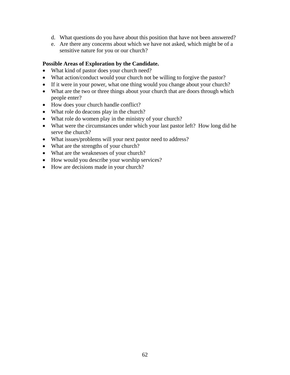- d. What questions do you have about this position that have not been answered?
- e. Are there any concerns about which we have not asked, which might be of a sensitive nature for you or our church?

### **Possible Areas of Exploration by the Candidate.**

- What kind of pastor does your church need?
- What action/conduct would your church not be willing to forgive the pastor?
- If it were in your power, what one thing would you change about your church?
- What are the two or three things about your church that are doors through which people enter?
- How does your church handle conflict?
- What role do deacons play in the church?
- What role do women play in the ministry of your church?
- What were the circumstances under which your last pastor left? How long did he serve the church?
- What issues/problems will your next pastor need to address?
- What are the strengths of your church?
- What are the weaknesses of your church?
- How would you describe your worship services?
- How are decisions made in your church?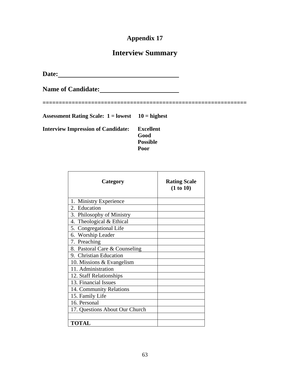# **Interview Summary**

**Date:** 

Name of Candidate: <u>**Name of Candidate: Name of Candidate: Name of Candidate: Name of Candidate: Name of Candidate: Name of Candidate: Name of Candidate: Name of Candidate: Name of Candidate: Name of Cand</u>** 

**===============================================================** 

**Assessment Rating Scale: 1 = lowest 10 = highest** 

**Interview Impression of Candidate: Excellent** 

 **Good Possible Poor** 

| Category                       | <b>Rating Scale</b><br>(1 to 10) |
|--------------------------------|----------------------------------|
| 1. Ministry Experience         |                                  |
| 2. Education                   |                                  |
| 3. Philosophy of Ministry      |                                  |
| 4. Theological & Ethical       |                                  |
| 5. Congregational Life         |                                  |
| 6. Worship Leader              |                                  |
| 7. Preaching                   |                                  |
| 8. Pastoral Care & Counseling  |                                  |
| 9. Christian Education         |                                  |
| 10. Missions $&$ Evangelism    |                                  |
| 11. Administration             |                                  |
| 12. Staff Relationships        |                                  |
| 13. Financial Issues           |                                  |
| 14. Community Relations        |                                  |
| 15. Family Life                |                                  |
| 16. Personal                   |                                  |
| 17. Questions About Our Church |                                  |
|                                |                                  |
| <b>TOTAL</b>                   |                                  |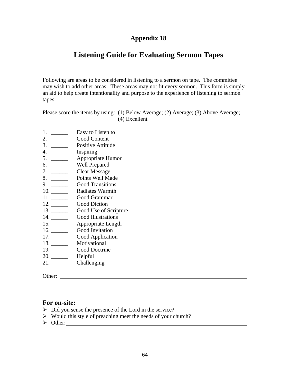# **Listening Guide for Evaluating Sermon Tapes**

Following are areas to be considered in listening to a sermon on tape. The committee may wish to add other areas. These areas may not fit every sermon. This form is simply an aid to help create intentionality and purpose to the experience of listening to sermon tapes.

Please score the items by using: (1) Below Average; (2) Average; (3) Above Average; (4) Excellent

- 1. <u>\_\_\_\_\_\_</u> Easy to Listen to
- 2. \_\_\_\_\_\_ Good Content
- 3. \_\_\_\_\_\_ Positive Attitude
- 4. \_\_\_\_\_\_ Inspiring
- 5. \_\_\_\_\_\_ Appropriate Humor
- 6. \_\_\_\_\_\_ Well Prepared
- 7. \_\_\_\_\_\_\_\_\_ Clear Message
- 8. \_\_\_\_\_\_ Points Well Made
- 9. \_\_\_\_\_\_ Good Transitions
- 10. \_\_\_\_\_\_ Radiates Warmth
- 11. \_\_\_\_\_\_ Good Grammar
- 12. Good Diction
- 13. \_\_\_\_\_\_\_\_\_\_\_ Good Use of Scripture
- 14. \_\_\_\_\_\_ Good Illustrations
- 15. \_\_\_\_\_\_ Appropriate Length
- 16. \_\_\_\_\_\_ Good Invitation
- 17. \_\_\_\_\_\_ Good Application
- 18. \_\_\_\_\_\_ Motivational
- Good Doctrine
- 20. \_\_\_\_\_\_\_\_ Helpful
- 21. Challenging

Other:  $\blacksquare$ 

### **For on-site:**

- $\triangleright$  Did you sense the presence of the Lord in the service?
- $\triangleright$  Would this style of preaching meet the needs of your church?
- ¾ Other: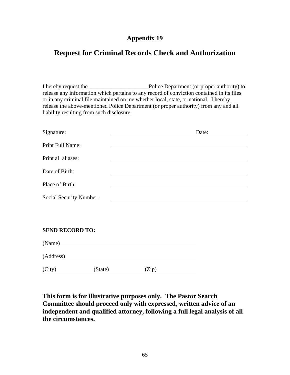## **Request for Criminal Records Check and Authorization**

I hereby request the \_\_\_\_\_\_\_\_\_\_\_\_\_\_\_\_\_\_\_\_\_Police Department (or proper authority) to release any information which pertains to any record of conviction contained in its files or in any criminal file maintained on me whether local, state, or national. I hereby release the above-mentioned Police Department (or proper authority) from any and all liability resulting from such disclosure.

| Signature:                     | Date:                                              |
|--------------------------------|----------------------------------------------------|
| Print Full Name:               |                                                    |
| Print all aliases:             |                                                    |
| Date of Birth:                 |                                                    |
| Place of Birth:                |                                                    |
| <b>Social Security Number:</b> |                                                    |
|                                |                                                    |
|                                |                                                    |
| <b>SEND RECORD TO:</b>         |                                                    |
| (Name)                         |                                                    |
| (Address)                      | <u> 1989 - John Stein, Amerikaansk politiker (</u> |
| (City)<br>(State)              | (Zip)                                              |

**This form is for illustrative purposes only. The Pastor Search Committee should proceed only with expressed, written advice of an independent and qualified attorney, following a full legal analysis of all the circumstances.**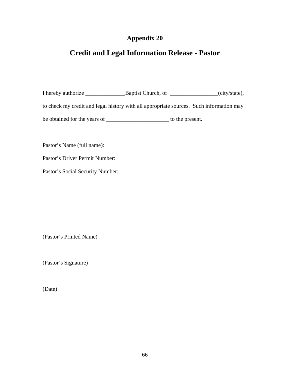# **Credit and Legal Information Release - Pastor**

| to check my credit and legal history with all appropriate sources. Such information may |  |  |  |  |  |
|-----------------------------------------------------------------------------------------|--|--|--|--|--|
|                                                                                         |  |  |  |  |  |
|                                                                                         |  |  |  |  |  |
| Pastor's Name (full name):                                                              |  |  |  |  |  |
| Pastor's Driver Permit Number:                                                          |  |  |  |  |  |
| Pastor's Social Security Number:                                                        |  |  |  |  |  |

(Pastor's Printed Name)

(Pastor's Signature)

(Date)

 $\overline{a}$ 

 $\overline{a}$ 

 $\overline{a}$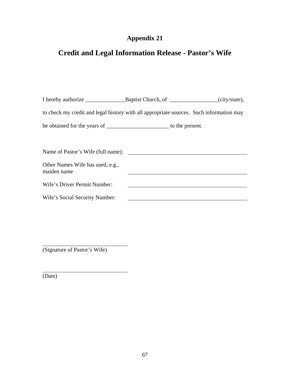# **Credit and Legal Information Release - Pastor's Wife**

| to check my credit and legal history with all appropriate sources. Such information may |  |  |  |  |  |
|-----------------------------------------------------------------------------------------|--|--|--|--|--|
|                                                                                         |  |  |  |  |  |
|                                                                                         |  |  |  |  |  |
| Name of Pastor's Wife (full name):                                                      |  |  |  |  |  |
| Other Names Wife has used, e.g.,<br>maiden name                                         |  |  |  |  |  |
| Wife's Driver Permit Number:                                                            |  |  |  |  |  |
| Wife's Social Security Number:                                                          |  |  |  |  |  |

(Signature of Pastor's Wife)

(Date)

 $\overline{a}$ 

 $\overline{a}$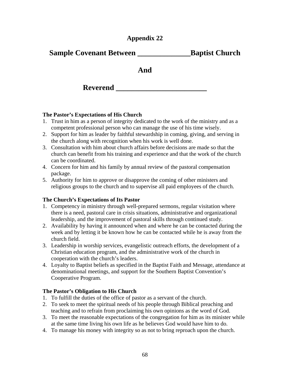### **Sample Covenant Between \_\_\_\_\_\_\_\_\_\_\_\_\_\_Baptist Church**

**And** 

**Reverend** 

### **The Pastor's Expectations of His Church**

- 1. Trust in him as a person of integrity dedicated to the work of the ministry and as a competent professional person who can manage the use of his time wisely.
- 2. Support for him as leader by faithful stewardship in coming, giving, and serving in the church along with recognition when his work is well done.
- 3. Consultation with him about church affairs before decisions are made so that the church can benefit from his training and experience and that the work of the church can be coordinated.
- 4. Concern for him and his family by annual review of the pastoral compensation package.
- 5. Authority for him to approve or disapprove the coming of other ministers and religious groups to the church and to supervise all paid employees of the church.

### **The Church's Expectations of Its Pastor**

- 1. Competency in ministry through well-prepared sermons, regular visitation where there is a need, pastoral care in crisis situations, administrative and organizational leadership, and the improvement of pastoral skills through continued study.
- 2. Availability by having it announced when and where he can be contacted during the week and by letting it be known how he can be contacted while he is away from the church field.
- 3. Leadership in worship services, evangelistic outreach efforts, the development of a Christian education program, and the administrative work of the church in cooperation with the church's leaders.
- 4. Loyalty to Baptist beliefs as specified in the Baptist Faith and Message, attendance at denominational meetings, and support for the Southern Baptist Convention's Cooperative Program.

### **The Pastor's Obligation to His Church**

- 1. To fulfill the duties of the office of pastor as a servant of the church.
- 2. To seek to meet the spiritual needs of his people through Biblical preaching and teaching and to refrain from proclaiming his own opinions as the word of God.
- 3. To meet the reasonable expectations of the congregation for him as its minister while at the same time living his own life as he believes God would have him to do.
- 4. To manage his money with integrity so as not to bring reproach upon the church.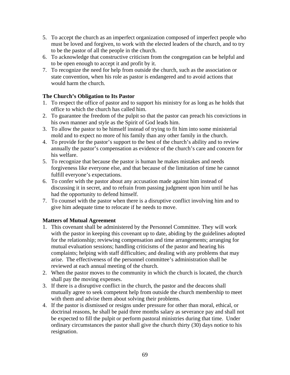- 5. To accept the church as an imperfect organization composed of imperfect people who must be loved and forgiven, to work with the elected leaders of the church, and to try to be the pastor of all the people in the church.
- 6. To acknowledge that constructive criticism from the congregation can be helpful and to be open enough to accept it and profit by it.
- 7. To recognize the need for help from outside the church, such as the association or state convention, when his role as pastor is endangered and to avoid actions that would harm the church.

### **The Church's Obligation to Its Pastor**

- 1. To respect the office of pastor and to support his ministry for as long as he holds that office to which the church has called him.
- 2. To guarantee the freedom of the pulpit so that the pastor can preach his convictions in his own manner and style as the Spirit of God leads him.
- 3. To allow the pastor to be himself instead of trying to fit him into some ministerial mold and to expect no more of his family than any other family in the church.
- 4. To provide for the pastor's support to the best of the church's ability and to review annually the pastor's compensation as evidence of the church's care and concern for his welfare.
- 5. To recognize that because the pastor is human he makes mistakes and needs forgiveness like everyone else, and that because of the limitation of time he cannot fulfill everyone's expectations.
- 6. To confer with the pastor about any accusation made against him instead of discussing it in secret, and to refrain from passing judgment upon him until he has had the opportunity to defend himself.
- 7. To counsel with the pastor when there is a disruptive conflict involving him and to give him adequate time to relocate if he needs to move.

### **Matters of Mutual Agreement**

- 1. This covenant shall be administered by the Personnel Committee. They will work with the pastor in keeping this covenant up to date, abiding by the guidelines adopted for the relationship; reviewing compensation and time arrangements; arranging for mutual evaluation sessions; handling criticisms of the pastor and hearing his complaints; helping with staff difficulties; and dealing with any problems that may arise. The effectiveness of the personnel committee's administration shall be reviewed at each annual meeting of the church.
- 2. When the pastor moves to the community in which the church is located, the church shall pay the moving expenses.
- 3. If there is a disruptive conflict in the church, the pastor and the deacons shall mutually agree to seek competent help from outside the church membership to meet with them and advise them about solving their problems.
- 4. If the pastor is dismissed or resigns under pressure for other than moral, ethical, or doctrinal reasons, he shall be paid three months salary as severance pay and shall not be expected to fill the pulpit or perform pastoral ministries during that time. Under ordinary circumstances the pastor shall give the church thirty (30) days notice to his resignation.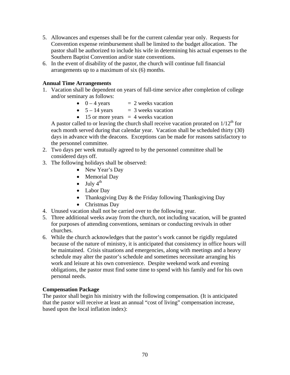- 5. Allowances and expenses shall be for the current calendar year only. Requests for Convention expense reimbursement shall be limited to the budget allocation. The pastor shall be authorized to include his wife in determining his actual expenses to the Southern Baptist Convention and/or state conventions.
- 6. In the event of disability of the pastor, the church will continue full financial arrangements up to a maximum of six (6) months.

### **Annual Time Arrangements**

- 1. Vacation shall be dependent on years of full-time service after completion of college and/or seminary as follows:
	- $0 4$  years  $= 2$  weeks vacation
	- $5 14$  years  $= 3$  weeks vacation
	- 15 or more years  $= 4$  weeks vacation

A pastor called to or leaving the church shall receive vacation prorated on  $1/12<sup>th</sup>$  for each month served during that calendar year. Vacation shall be scheduled thirty (30) days in advance with the deacons. Exceptions can be made for reasons satisfactory to the personnel committee.

- 2. Two days per week mutually agreed to by the personnel committee shall be considered days off.
- 3. The following holidays shall be observed:
	- New Year's Day
	- Memorial Day
	- July  $4^{th}$
	- Labor Day
	- Thanksgiving Day & the Friday following Thanksgiving Day
	- Christmas Day
- 4. Unused vacation shall not be carried over to the following year.
- 5. Three additional weeks away from the church, not including vacation, will be granted for purposes of attending conventions, seminars or conducting revivals in other churches.
- 6. While the church acknowledges that the pastor's work cannot be rigidly regulated because of the nature of ministry, it is anticipated that consistency in office hours will be maintained. Crisis situations and emergencies, along with meetings and a heavy schedule may alter the pastor's schedule and sometimes necessitate arranging his work and leisure at his own convenience. Despite weekend work and evening obligations, the pastor must find some time to spend with his family and for his own personal needs.

### **Compensation Package**

The pastor shall begin his ministry with the following compensation. (It is anticipated that the pastor will receive at least an annual "cost of living" compensation increase, based upon the local inflation index):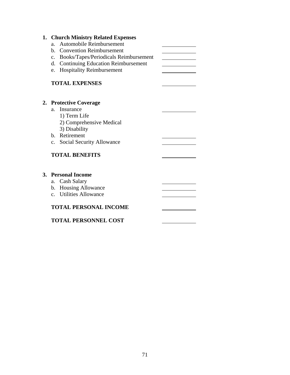|                | 1. Church Ministry Related Expenses      |  |
|----------------|------------------------------------------|--|
| a <sub>z</sub> | <b>Automobile Reimbursement</b>          |  |
|                | b. Convention Reimbursement              |  |
|                | c. Books/Tapes/Periodicals Reimbursement |  |
|                | d. Continuing Education Reimbursement    |  |
| e.             | <b>Hospitality Reimbursement</b>         |  |
|                | <b>TOTAL EXPENSES</b>                    |  |
|                |                                          |  |
|                | 2. Protective Coverage                   |  |
| $a_{-}$        | Insurance                                |  |
|                | 1) Term Life                             |  |
|                | 2) Comprehensive Medical                 |  |
|                | 3) Disability<br>b. Retirement           |  |
| $c_{-}$        |                                          |  |
|                | Social Security Allowance                |  |
|                | <b>TOTAL BENEFITS</b>                    |  |
|                |                                          |  |
|                | 3. Personal Income                       |  |
|                | a. Cash Salary                           |  |
|                | b. Housing Allowance                     |  |
|                | c. Utilities Allowance                   |  |
|                | <b>TOTAL PERSONAL INCOME</b>             |  |
|                | <b>TOTAL PERSONNEL COST</b>              |  |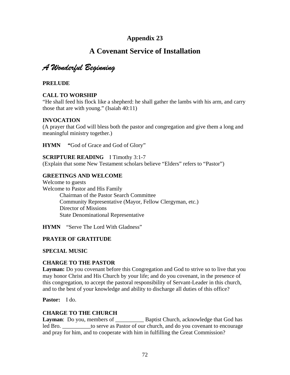# **A Covenant Service of Installation**

*A Wonderful Beginning* 

**PRELUDE** 

### **CALL TO WORSHIP**

"He shall feed his flock like a shepherd: he shall gather the lambs with his arm, and carry those that are with young." (Isaiah 40:11)

### **INVOCATION**

(A prayer that God will bless both the pastor and congregation and give them a long and meaningful ministry together.)

**HYMN** "God of Grace and God of Glory"

### **SCRIPTURE READING** I Timothy 3:1-7

(Explain that some New Testament scholars believe "Elders" refers to "Pastor")

### **GREETINGS AND WELCOME**

Welcome to guests Welcome to Pastor and His Family Chairman of the Pastor Search Committee Community Representative (Mayor, Fellow Clergyman, etc.) Director of Missions State Denominational Representative

**HYMN** "Serve The Lord With Gladness"

### **PRAYER OF GRATITUDE**

### **SPECIAL MUSIC**

### **CHARGE TO THE PASTOR**

**Layman:** Do you covenant before this Congregation and God to strive so to live that you may honor Christ and His Church by your life; and do you covenant, in the presence of this congregation, to accept the pastoral responsibility of Servant-Leader in this church, and to the best of your knowledge and ability to discharge all duties of this office?

**Pastor:** I do.

### **CHARGE TO THE CHURCH**

**Layman**: Do you, members of \_\_\_\_\_\_\_\_\_\_\_\_\_\_ Baptist Church, acknowledge that God has led Bro. **Example 3** to serve as Pastor of our church, and do you covenant to encourage and pray for him, and to cooperate with him in fulfilling the Great Commission?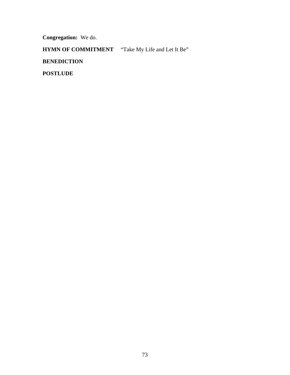**Congregation:** We do.

**HYMN OF COMMITMENT** "Take My Life and Let It Be"

**BENEDICTION** 

**POSTLUDE**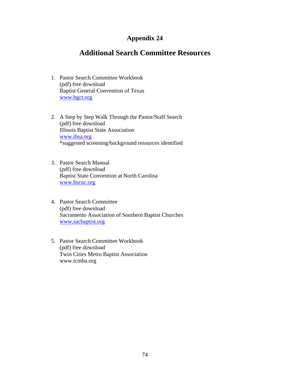## **Appendix 24**

# **Additional Search Committee Resources**

- 1. Pastor Search Committee Workbook (pdf) free download Baptist General Convention of Texas [www.bgct.org](http://www.bgct.org/)
- 2. A Step by Step Walk Through the Pastor/Staff Search (pdf) free download Illinois Baptist State Association [www.ibsa.org](http://www.ibsa.org/) \*suggested screening/background resources identified
- 3. Pastor Search Manual (pdf) free download Baptist State Convention at North Carolina [www.bscnc.org](http://www.bscnc.org/)
- 4. Pastor Search Committee (pdf) free download Sacramento Association of Southern Baptist Churches [www.sacbaptist.org](http://www.sacbaptist.org/)
- 5. Pastor Search Committee Workbook (pdf) free download Twin Cities Metro Baptist Association www.tcmba.org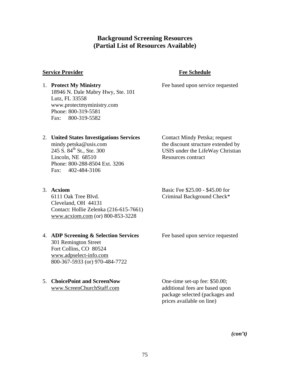## **Background Screening Resources (Partial List of Resources Available)**

### **Service Provider Fee Schedule**

### 1. **Protect My Ministry** Fee based upon service requested 18946 N. Dale Mabry Hwy, Ste. 101 Lutz, FL 33558 www.protectmyministry.com Phone: 800-319-5581 Fax: 800-319-5582

### 2. **United States Investigations Services** Contact Mindy Petska; request

Lincoln, NE 68510 Resources contract Phone: 800-288-8504 Ext. 3206 Fax: 402-484-3106

mindy.petska@usis.com the discount structure extended by<br>245 S.  $84^{\text{th}}$  St., Ste. 300 USIS under the LifeWay Christian USIS under the LifeWay Christian

6111 Oak Tree Blvd. Criminal Background Check\* Cleveland, OH 44131 Contact: Hollie Zelenka (216-615-7661) [www.acxiom.com](http://www.acxiom.com/) (or) 800-853-3228

### 4. **ADP Screening & Selection Services** Fee based upon service requested

301 Remington Street Fort Collins, CO 80524 [www.adpselect-info.com](http://www.adpselect-info.com/) 800-367-5933 (or) 970-484-7722

# 5. **ChoicePoint and ScreenNow** One-time set-up fee: \$50.00;

3. **Acxiom** Basic Fee \$25.00 - \$45.00 for

[www.ScreenChurchStaff.com](http://www.screenchurchstaff.com/) additional fees are based upon package selected (packages and prices available on line)